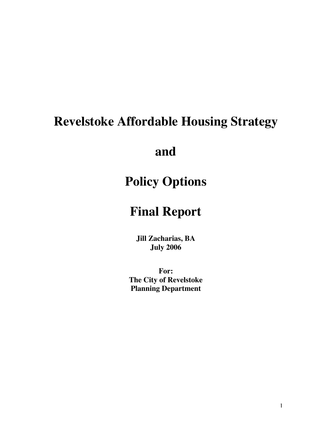# **Revelstoke Affordable Housing Strategy**

**and**

# **Policy Options**

# **Final Report**

**Jill Zacharias, BA July 2006**

**For: The City of Revelstoke Planning Department**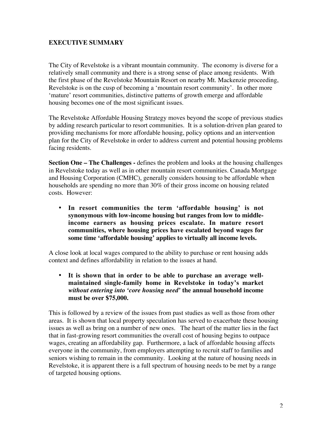### **EXECUTIVE SUMMARY**

The City of Revelstoke is a vibrant mountain community. The economy is diverse for a relatively small community and there is a strong sense of place among residents. With the first phase of the Revelstoke Mountain Resort on nearby Mt. Mackenzie proceeding, Revelstoke is on the cusp of becoming a 'mountain resort community'. In other more 'mature' resort communities, distinctive patterns of growth emerge and affordable housing becomes one of the most significant issues.

The Revelstoke Affordable Housing Strategy moves beyond the scope of previous studies by adding research particular to resort communities. It is a solution-driven plan geared to providing mechanisms for more affordable housing, policy options and an intervention plan for the City of Revelstoke in order to address current and potential housing problems facing residents.

**Section One – The Challenges -** defines the problem and looks at the housing challenges in Revelstoke today as well as in other mountain resort communities. Canada Mortgage and Housing Corporation (CMHC), generally considers housing to be affordable when households are spending no more than 30% of their gross income on housing related costs. However:

### **In resort communities the term 'affordable housing' is not synonymous with low-income housing but ranges from low to middleincome earners as housing prices escalate. In mature resort communities, where housing prices have escalated beyond wages for some time 'affordable housing' applies to virtually all income levels.**

A close look at local wages compared to the ability to purchase or rent housing adds context and defines affordability in relation to the issues at hand.

### **It is shown that in order to be able to purchase an average wellmaintained single-family home in Revelstoke in today's market** *without entering into 'core housing need'* **the annual household income must be over \$75,000.**

This is followed by a review of the issues from past studies as well as those from other areas. It is shown that local property speculation has served to exacerbate these housing issues as well as bring on a number of new ones. The heart of the matter lies in the fact that in fast-growing resort communities the overall cost of housing begins to outpace wages, creating an affordability gap. Furthermore, a lack of affordable housing affects everyone in the community, from employers attempting to recruit staff to families and seniors wishing to remain in the community. Looking at the nature of housing needs in Revelstoke, it is apparent there is a full spectrum of housing needs to be met by a range of targeted housing options.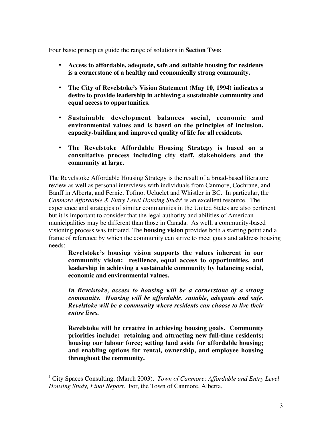Four basic principles guide the range of solutions in **Section Two:**

**Access to affordable, adequate, safe and suitable housing for residents is a cornerstone of a healthy and economically strong community.**

**The City of Revelstoke's Vision Statement (May 10, 1994) indicates a desire to provide leadership in achieving a sustainable community and equal access to opportunities.**

**Sustainable development balances social, economic and environmental values and is based on the principles of inclusion, capacity-building and improved quality of life for all residents.**

### **The Revelstoke Affordable Housing Strategy is based on a consultative process including city staff, stakeholders and the community at large.**

The Revelstoke Affordable Housing Strategy is the result of a broad-based literature review as well as personal interviews with individuals from Canmore, Cochrane, and Banff in Alberta, and Fernie, Tofino, Ucluelet and Whistler in BC. In particular, the *Canmore Affordable & Entry Level Housing Study*<sup>1</sup> is an excellent resource. The experience and strategies of similar communities in the United States are also pertinent but it is important to consider that the legal authority and abilities of American municipalities may be different than those in Canada. As well, a community-based visioning process was initiated. The **housing vision** provides both a starting point and a frame of reference by which the community can strive to meet goals and address housing needs:

**Revelstoke's housing vision supports the values inherent in our community vision: resilience, equal access to opportunities, and leadership in achieving a sustainable community by balancing social, economic and environmental values.**

*In Revelstoke, access to housing will be a cornerstone of a strong community. Housing will be affordable, suitable, adequate and safe. Revelstoke will be a community where residents can choose to live their entire lives.*

**Revelstoke will be creative in achieving housing goals. Community priorities include: retaining and attracting new full-time residents; housing our labour force; setting land aside for affordable housing; and enabling options for rental, ownership, and employee housing throughout the community.**

 $\overline{a}$ 

<sup>&</sup>lt;sup>1</sup> City Spaces Consulting. (March 2003). *Town of Canmore: Affordable and Entry Level Housing Study, Final Report*. For, the Town of Canmore, Alberta.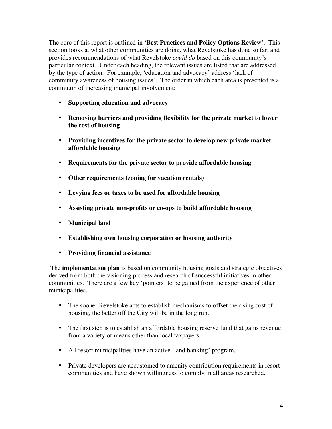The core of this report is outlined in **'Best Practices and Policy Options Review'**. This section looks at what other communities are doing, what Revelstoke has done so far, and provides recommendations of what Revelstoke *could do* based on this community's particular context. Under each heading, the relevant issues are listed that are addressed by the type of action. For example, 'education and advocacy' address 'lack of community awareness of housing issues'. The order in which each area is presented is a continuum of increasing municipal involvement:

### **Supporting education and advocacy**

**Removing barriers and providing flexibility for the private market to lower the cost of housing**

**Providing incentives for the private sector to develop new private market affordable housing**

**Requirements for the private sector to provide affordable housing**

**Other requirements (zoning for vacation rentals)**

**Levying fees or taxes to be used for affordable housing**

**Assisting private non-profits or co-ops to build affordable housing**

**Municipal land**

**Establishing own housing corporation or housing authority**

### **Providing financial assistance**

 The **implementation plan** is based on community housing goals and strategic objectives derived from both the visioning process and research of successful initiatives in other communities. There are a few key 'pointers' to be gained from the experience of other municipalities.

The sooner Revelstoke acts to establish mechanisms to offset the rising cost of housing, the better off the City will be in the long run.

The first step is to establish an affordable housing reserve fund that gains revenue from a variety of means other than local taxpayers.

All resort municipalities have an active 'land banking' program.

Private developers are accustomed to amenity contribution requirements in resort communities and have shown willingness to comply in all areas researched.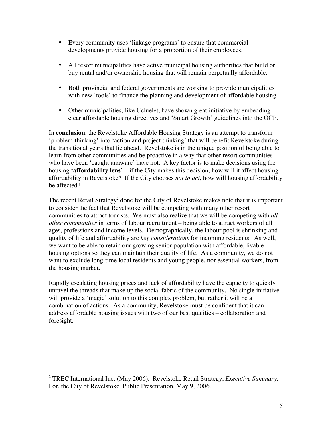Every community uses 'linkage programs' to ensure that commercial developments provide housing for a proportion of their employees.

All resort municipalities have active municipal housing authorities that build or buy rental and/or ownership housing that will remain perpetually affordable.

Both provincial and federal governments are working to provide municipalities with new 'tools' to finance the planning and development of affordable housing.

Other municipalities, like Ucluelet, have shown great initiative by embedding clear affordable housing directives and 'Smart Growth' guidelines into the OCP.

In **conclusion**, the Revelstoke Affordable Housing Strategy is an attempt to transform 'problem-thinking' into 'action and project thinking' that will benefit Revelstoke during the transitional years that lie ahead. Revelstoke is in the unique position of being able to learn from other communities and be proactive in a way that other resort communities who have been 'caught unaware' have not. A key factor is to make decisions using the housing **'affordability lens'** – if the City makes this decision, how will it affect housing affordability in Revelstoke? If the City chooses *not to act,* how will housing affordability be affected?

The recent Retail Strategy<sup>2</sup> done for the City of Revelstoke makes note that it is important to consider the fact that Revelstoke will be competing with many other resort communities to attract tourists. We must also realize that we will be competing with *all other communities* in terms of labour recruitment – being able to attract workers of all ages, professions and income levels. Demographically, the labour pool is shrinking and quality of life and affordability are *key considerations* for incoming residents. As well, we want to be able to retain our growing senior population with affordable, livable housing options so they can maintain their quality of life. As a community, we do not want to exclude long-time local residents and young people, nor essential workers, from the housing market.

Rapidly escalating housing prices and lack of affordability have the capacity to quickly unravel the threads that make up the social fabric of the community. No single initiative will provide a 'magic' solution to this complex problem, but rather it will be a combination of actions. As a community, Revelstoke must be confident that it can address affordable housing issues with two of our best qualities – collaboration and foresight.

 $\overline{a}$ 

<sup>2</sup> TREC International Inc. (May 2006). Revelstoke Retail Strategy, *Executive Summary.* For, the City of Revelstoke. Public Presentation, May 9, 2006.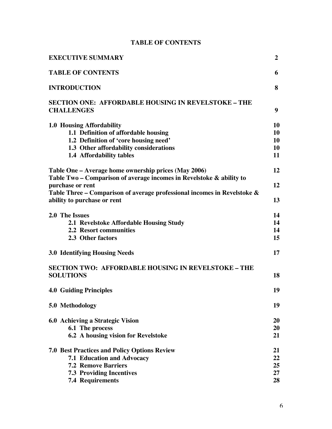### **TABLE OF CONTENTS**

| <b>EXECUTIVE SUMMARY</b>                                                 | $\overline{2}$ |
|--------------------------------------------------------------------------|----------------|
| <b>TABLE OF CONTENTS</b>                                                 | 6              |
| <b>INTRODUCTION</b>                                                      | 8              |
| <b>SECTION ONE: AFFORDABLE HOUSING IN REVELSTOKE – THE</b>               |                |
| <b>CHALLENGES</b>                                                        | 9              |
| 1.0 Housing Affordability                                                | 10             |
| 1.1 Definition of affordable housing                                     | 10             |
| 1.2 Definition of 'core housing need'                                    | 10             |
| 1.3 Other affordability considerations                                   | 10             |
| 1.4 Affordability tables                                                 | 11             |
| Table One – Average home ownership prices (May 2006)                     | 12             |
| Table Two - Comparison of average incomes in Revelstoke & ability to     |                |
| purchase or rent                                                         | 12             |
| Table Three - Comparison of average professional incomes in Revelstoke & |                |
| ability to purchase or rent                                              | 13             |
| 2.0 The Issues                                                           | 14             |
| 2.1 Revelstoke Affordable Housing Study                                  | 14             |
| <b>2.2 Resort communities</b>                                            | 14             |
| 2.3 Other factors                                                        | 15             |
| <b>3.0 Identifying Housing Needs</b>                                     | 17             |
| <b>SECTION TWO: AFFORDABLE HOUSING IN REVELSTOKE – THE</b>               |                |
| <b>SOLUTIONS</b>                                                         | 18             |
| <b>4.0 Guiding Principles</b>                                            | 19             |
| 5.0 Methodology                                                          | 19             |
| 6.0 Achieving a Strategic Vision                                         | <b>20</b>      |
| 6.1 The process                                                          | 20             |
| 6.2 A housing vision for Revelstoke                                      | 21             |
| <b>7.0 Best Practices and Policy Options Review</b>                      | 21             |
| <b>7.1 Education and Advocacy</b>                                        | 22             |
| <b>7.2 Remove Barriers</b>                                               | 25             |
| <b>7.3 Providing Incentives</b>                                          | 27             |
| <b>7.4 Requirements</b>                                                  | 28             |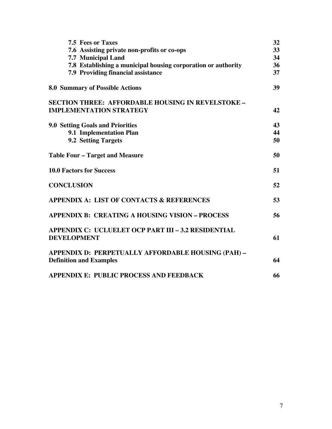| <b>7.5 Fees or Taxes</b>                                                             | 32 |
|--------------------------------------------------------------------------------------|----|
| 7.6 Assisting private non-profits or co-ops                                          | 33 |
| <b>7.7 Municipal Land</b>                                                            | 34 |
| 7.8 Establishing a municipal housing corporation or authority                        | 36 |
| <b>7.9 Providing financial assistance</b>                                            | 37 |
| <b>8.0 Summary of Possible Actions</b>                                               | 39 |
| <b>SECTION THREE: AFFORDABLE HOUSING IN REVELSTOKE -</b>                             |    |
| <b>IMPLEMENTATION STRATEGY</b>                                                       | 42 |
| <b>9.0 Setting Goals and Priorities</b>                                              | 43 |
| 9.1 Implementation Plan                                                              | 44 |
| 9.2 Setting Targets                                                                  | 50 |
| <b>Table Four – Target and Measure</b>                                               | 50 |
| <b>10.0 Factors for Success</b>                                                      | 51 |
| <b>CONCLUSION</b>                                                                    | 52 |
| <b>APPENDIX A: LIST OF CONTACTS &amp; REFERENCES</b>                                 | 53 |
| <b>APPENDIX B: CREATING A HOUSING VISION - PROCESS</b>                               | 56 |
| APPENDIX C: UCLUELET OCP PART III - 3.2 RESIDENTIAL<br><b>DEVELOPMENT</b>            | 61 |
| APPENDIX D: PERPETUALLY AFFORDABLE HOUSING (PAH) -<br><b>Definition and Examples</b> | 64 |
| APPENDIX E: PUBLIC PROCESS AND FEEDBACK                                              | 66 |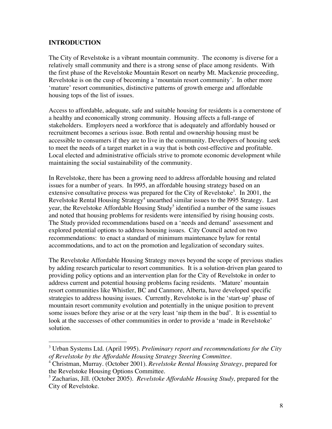### **INTRODUCTION**

 $\overline{a}$ 

The City of Revelstoke is a vibrant mountain community. The economy is diverse for a relatively small community and there is a strong sense of place among residents. With the first phase of the Revelstoke Mountain Resort on nearby Mt. Mackenzie proceeding, Revelstoke is on the cusp of becoming a 'mountain resort community'. In other more 'mature' resort communities, distinctive patterns of growth emerge and affordable housing tops of the list of issues.

Access to affordable, adequate, safe and suitable housing for residents is a cornerstone of a healthy and economically strong community. Housing affects a full-range of stakeholders. Employers need a workforce that is adequately and affordably housed or recruitment becomes a serious issue. Both rental and ownership housing must be accessible to consumers if they are to live in the community. Developers of housing seek to meet the needs of a target market in a way that is both cost-effective and profitable. Local elected and administrative officials strive to promote economic development while maintaining the social sustainability of the community.

In Revelstoke, there has been a growing need to address affordable housing and related issues for a number of years. In l995, an affordable housing strategy based on an extensive consultative process was prepared for the City of Revelstoke<sup>3</sup>. In 2001, the Revelstoke Rental Housing Strategy $^4$  unearthed similar issues to the 1995 Strategy. Last year, the Revelstoke Affordable Housing Study<sup>5</sup> identified a number of the same issues and noted that housing problems for residents were intensified by rising housing costs. The Study provided recommendations based on a 'needs and demand' assessment and explored potential options to address housing issues. City Council acted on two recommendations: to enact a standard of minimum maintenance bylaw for rental accommodations, and to act on the promotion and legalization of secondary suites.

The Revelstoke Affordable Housing Strategy moves beyond the scope of previous studies by adding research particular to resort communities. It is a solution-driven plan geared to providing policy options and an intervention plan for the City of Revelstoke in order to address current and potential housing problems facing residents. 'Mature' mountain resort communities like Whistler, BC and Canmore, Alberta, have developed specific strategies to address housing issues. Currently, Revelstoke is in the 'start-up' phase of mountain resort community evolution and potentially in the unique position to prevent some issues before they arise or at the very least 'nip them in the bud'. It is essential to look at the successes of other communities in order to provide a 'made in Revelstoke' solution.

<sup>3</sup> Urban Systems Ltd. (April 1995). *Preliminary report and recommendations for the City of Revelstoke by the Affordable Housing Strategy Steering Committee.*

<sup>4</sup> Christman, Murray. (October 2001). *Revelstoke Rental Housing Strategy*, prepared for the Revelstoke Housing Options Committee.

<sup>5</sup> Zacharias, Jill. (October 2005). *Revelstoke Affordable Housing Study,* prepared for the City of Revelstoke.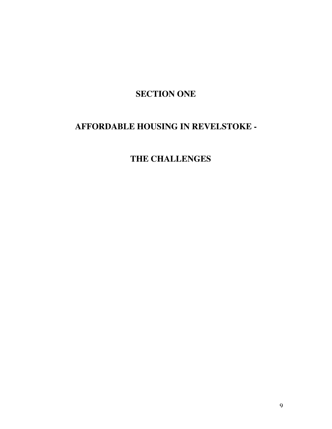## **SECTION ONE**

## **AFFORDABLE HOUSING IN REVELSTOKE -**

## **THE CHALLENGES**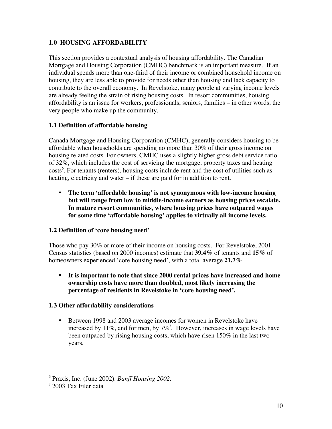### **1.0 HOUSING AFFORDABILITY**

This section provides a contextual analysis of housing affordability. The Canadian Mortgage and Housing Corporation (CMHC) benchmark is an important measure. If an individual spends more than one-third of their income or combined household income on housing, they are less able to provide for needs other than housing and lack capacity to contribute to the overall economy. In Revelstoke, many people at varying income levels are already feeling the strain of rising housing costs. In resort communities, housing affordability is an issue for workers, professionals, seniors, families – in other words, the very people who make up the community.

### **1.1 Definition of affordable housing**

Canada Mortgage and Housing Corporation (CMHC), generally considers housing to be affordable when households are spending no more than 30% of their gross income on housing related costs. For owners, CMHC uses a slightly higher gross debt service ratio of 32%, which includes the cost of servicing the mortgage, property taxes and heating costs<sup>6</sup>. For tenants (renters), housing costs include rent and the cost of utilities such as heating, electricity and water – if these are paid for in addition to rent.

**The term 'affordable housing' is not synonymous with low-income housing but will range from low to middle-income earners as housing prices escalate. In mature resort communities, where housing prices have outpaced wages for some time 'affordable housing' applies to virtually all income levels.**

### **1.2 Definition of 'core housing need'**

Those who pay 30% or more of their income on housing costs. For Revelstoke, 2001 Census statistics (based on 2000 incomes) estimate that **39.4%** of tenants and **15%** of homeowners experienced 'core housing need', with a total average **21.7%**.

### **It is important to note that since 2000 rental prices have increased and home ownership costs have more than doubled, most likely increasing the percentage of residents in Revelstoke in 'core housing need'.**

### **1.3 Other affordability considerations**

Between 1998 and 2003 average incomes for women in Revelstoke have increased by 11%, and for men, by  $7\%$ <sup>7</sup>. However, increases in wage levels have been outpaced by rising housing costs, which have risen 150% in the last two years.

 $\overline{a}$ 

<sup>6</sup> Praxis, Inc. (June 2002). *Banff Housing 2002*.

<sup>7</sup> 2003 Tax Filer data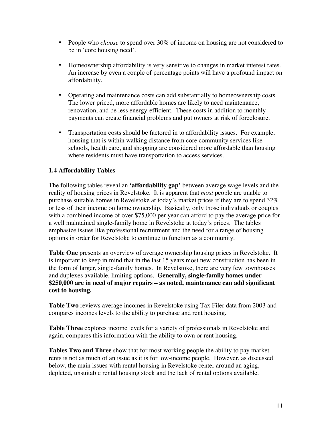People who *choose* to spend over 30% of income on housing are not considered to be in 'core housing need'.

Homeownership affordability is very sensitive to changes in market interest rates. An increase by even a couple of percentage points will have a profound impact on affordability.

Operating and maintenance costs can add substantially to homeownership costs. The lower priced, more affordable homes are likely to need maintenance, renovation, and be less energy-efficient. These costs in addition to monthly payments can create financial problems and put owners at risk of foreclosure.

Transportation costs should be factored in to affordability issues. For example, housing that is within walking distance from core community services like schools, health care, and shopping are considered more affordable than housing where residents must have transportation to access services.

### **1.4 Affordability Tables**

The following tables reveal an **'affordability gap'** between average wage levels and the reality of housing prices in Revelstoke. It is apparent that *most* people are unable to purchase suitable homes in Revelstoke at today's market prices if they are to spend 32% or less of their income on home ownership. Basically, only those individuals or couples with a combined income of over \$75,000 per year can afford to pay the average price for a well maintained single-family home in Revelstoke at today's prices. The tables emphasize issues like professional recruitment and the need for a range of housing options in order for Revelstoke to continue to function as a community.

**Table One** presents an overview of average ownership housing prices in Revelstoke. It is important to keep in mind that in the last 15 years most new construction has been in the form of larger, single-family homes. In Revelstoke, there are very few townhouses and duplexes available, limiting options. **Generally, single-family homes under \$250,000 are in need of major repairs – as noted, maintenance can add significant cost to housing.**

**Table Two** reviews average incomes in Revelstoke using Tax Filer data from 2003 and compares incomes levels to the ability to purchase and rent housing.

**Table Three** explores income levels for a variety of professionals in Revelstoke and again, compares this information with the ability to own or rent housing.

**Tables Two and Three** show that for most working people the ability to pay market rents is not as much of an issue as it is for low-income people. However, as discussed below, the main issues with rental housing in Revelstoke center around an aging, depleted, unsuitable rental housing stock and the lack of rental options available.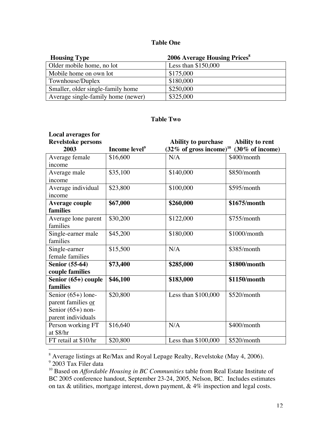### **Table One**

| <b>Housing Type</b>                | <b>2006 Average Housing Prices</b> <sup>8</sup> |
|------------------------------------|-------------------------------------------------|
| Older mobile home, no lot          | Less than $$150,000$                            |
| Mobile home on own lot             | \$175,000                                       |
| Townhouse/Duplex                   | \$180,000                                       |
| Smaller, older single-family home  | \$250,000                                       |
| Average single-family home (newer) | \$325,000                                       |

### **Table Two**

| <b>Local averages for</b><br><b>Revelstoke persons</b> |                           | <b>Ability to purchase</b>    | <b>Ability to rent</b> |
|--------------------------------------------------------|---------------------------|-------------------------------|------------------------|
| 2003                                                   | Income level <sup>9</sup> | (32% of gross income) $^{10}$ | (30% of income)        |
| Average female                                         | \$16,600                  | N/A                           | \$400/month            |
| income                                                 |                           |                               |                        |
| Average male<br>income                                 | \$35,100                  | \$140,000                     | \$850/month            |
| Average individual<br>income                           | \$23,800                  | \$100,000                     | \$595/month            |
| <b>Average couple</b><br>families                      | \$67,000                  | \$260,000                     | \$1675/month           |
| Average lone parent<br>families                        | \$30,200                  | \$122,000                     | \$755/month            |
| Single-earner male<br>families                         | \$45,200                  | \$180,000                     | \$1000/month           |
| Single-earner<br>female families                       | \$15,500                  | N/A                           | \$385/month            |
| <b>Senior (55-64)</b>                                  | \$73,400                  | \$285,000                     | \$1800/month           |
| couple families                                        |                           |                               |                        |
| Senior (65+) couple                                    | \$46,100                  | \$183,000                     | \$1150/month           |
| families                                               |                           |                               |                        |
| Senior $(65+)$ lone-                                   | \$20,800                  | Less than $$100,000$          | \$520/month            |
| parent families or                                     |                           |                               |                        |
| Senior $(65+)$ non-                                    |                           |                               |                        |
| parent individuals                                     |                           |                               |                        |
| Person working FT                                      | \$16,640                  | N/A                           | \$400/month            |
| at \$8/hr                                              |                           |                               |                        |
| FT retail at \$10/hr                                   | \$20,800                  | Less than \$100,000           | \$520/month            |

<sup>&</sup>lt;sup>8</sup> Average listings at Re/Max and Royal Lepage Realty, Revelstoke (May 4, 2006).<br><sup>9</sup> 2003 Tax Filer data

<sup>&</sup>lt;sup>10</sup> Based on *Affordable Housing in BC Communities* table from Real Estate Institute of BC 2005 conference handout, September 23-24, 2005, Nelson, BC. Includes estimates on tax & utilities, mortgage interest, down payment, & 4% inspection and legal costs.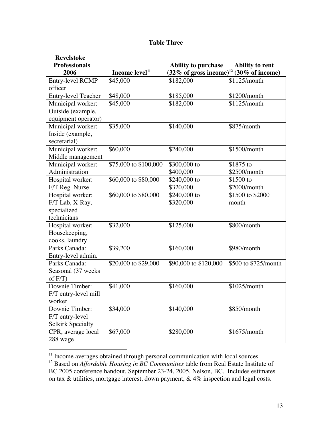| <b>Table Three</b> |
|--------------------|
|                    |

| <b>Revelstoke</b>          |                            |                                                     |                        |
|----------------------------|----------------------------|-----------------------------------------------------|------------------------|
| <b>Professionals</b>       |                            | <b>Ability to purchase</b>                          | <b>Ability to rent</b> |
| 2006                       | Income level <sup>11</sup> | (32% of gross income) <sup>12</sup> (30% of income) |                        |
| Entry-level RCMP           | \$45,000                   | \$182,000                                           | \$1125/month           |
| officer                    |                            |                                                     |                        |
| <b>Entry-level Teacher</b> | \$48,000                   | \$185,000                                           | \$1200/month           |
| Municipal worker:          | \$45,000                   | \$182,000                                           | \$1125/month           |
| Outside (example,          |                            |                                                     |                        |
| equipment operator)        |                            |                                                     |                        |
| Municipal worker:          | \$35,000                   | \$140,000                                           | \$875/month            |
| Inside (example,           |                            |                                                     |                        |
| secretarial)               |                            |                                                     |                        |
| Municipal worker:          | \$60,000                   | \$240,000                                           | \$1500/month           |
| Middle management          |                            |                                                     |                        |
| Municipal worker:          | \$75,000 to \$100,000      | \$300,000 to                                        | $$1875$ to             |
| Administration             |                            | \$400,000                                           | \$2500/month           |
| Hospital worker:           | \$60,000 to \$80,000       | $$240,000$ to                                       | \$1500 to              |
| F/T Reg. Nurse             |                            | \$320,000                                           | \$2000/month           |
| Hospital worker:           | \$60,000 to \$80,000       | $$240,000$ to                                       | \$1500 to \$2000       |
| F/T Lab, X-Ray,            |                            | \$320,000                                           | month                  |
| specialized                |                            |                                                     |                        |
| technicians                |                            |                                                     |                        |
| Hospital worker:           | \$32,000                   | \$125,000                                           | \$800/month            |
| Housekeeping,              |                            |                                                     |                        |
| cooks, laundry             |                            |                                                     |                        |
| Parks Canada:              | \$39,200                   | \$160,000                                           | \$980/month            |
| Entry-level admin.         |                            |                                                     |                        |
| Parks Canada:              | \$20,000 to \$29,000       | \$90,000 to \$120,000                               | \$500 to \$725/month   |
| Seasonal (37 weeks)        |                            |                                                     |                        |
| of $F/T$ )                 |                            |                                                     |                        |
| Downie Timber:             | \$41,000                   | \$160,000                                           | \$1025/month           |
| F/T entry-level mill       |                            |                                                     |                        |
| worker                     |                            |                                                     |                        |
| Downie Timber:             | \$34,000                   | \$140,000                                           | \$850/month            |
| F/T entry-level            |                            |                                                     |                        |
| <b>Selkirk Specialty</b>   |                            |                                                     |                        |
| CPR, average local         | \$67,000                   | \$280,000                                           | \$1675/month           |
| 288 wage                   |                            |                                                     |                        |

<sup>11</sup> Income averages obtained through personal communication with local sources.<br><sup>12</sup> Based on *Affordable Housing in BC Communities* table from Real Estate Institute of

BC 2005 conference handout, September 23-24, 2005, Nelson, BC. Includes estimates on tax  $\&$  utilities, mortgage interest, down payment,  $\&$  4% inspection and legal costs.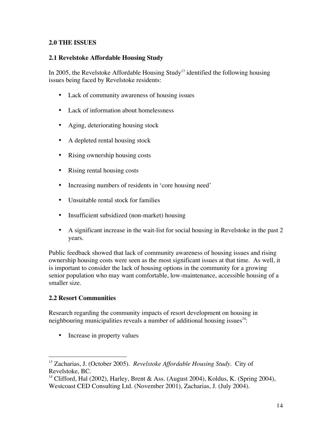### **2.0 THE ISSUES**

### **2.1 Revelstoke Affordable Housing Study**

In 2005, the Revelstoke Affordable Housing Study<sup>13</sup> identified the following housing issues being faced by Revelstoke residents:

Lack of community awareness of housing issues

Lack of information about homelessness

Aging, deteriorating housing stock

A depleted rental housing stock

Rising ownership housing costs

Rising rental housing costs

Increasing numbers of residents in 'core housing need'

Unsuitable rental stock for families

Insufficient subsidized (non-market) housing

A significant increase in the wait-list for social housing in Revelstoke in the past 2 years.

Public feedback showed that lack of community awareness of housing issues and rising ownership housing costs were seen as the most significant issues at that time. As well, it is important to consider the lack of housing options in the community for a growing senior population who may want comfortable, low-maintenance, accessible housing of a smaller size.

### **2.2 Resort Communities**

Research regarding the community impacts of resort development on housing in neighbouring municipalities reveals a number of additional housing issues $^{14}$ :

Increase in property values

 13 Zacharias, J. (October 2005). *Revelstoke Affordable Housing Study*. City of Revelstoke, BC.

<sup>&</sup>lt;sup>14</sup> Clifford, Hal (2002), Harley, Brent & Ass. (August 2004), Koldus, K. (Spring 2004), Westcoast CED Consulting Ltd. (November 2001), Zacharias, J. (July 2004).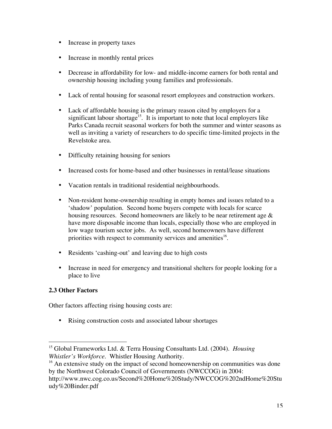Increase in property taxes

Increase in monthly rental prices

Decrease in affordability for low- and middle-income earners for both rental and ownership housing including young families and professionals.

Lack of rental housing for seasonal resort employees and construction workers.

Lack of affordable housing is the primary reason cited by employers for a significant labour shortage<sup>15</sup>. It is important to note that local employers like Parks Canada recruit seasonal workers for both the summer and winter seasons as well as inviting a variety of researchers to do specific time-limited projects in the Revelstoke area.

Difficulty retaining housing for seniors

Increased costs for home-based and other businesses in rental/lease situations

Vacation rentals in traditional residential neighbourhoods.

Non-resident home-ownership resulting in empty homes and issues related to a 'shadow' population. Second home buyers compete with locals for scarce housing resources. Second homeowners are likely to be near retirement age  $\&$ have more disposable income than locals, especially those who are employed in low wage tourism sector jobs. As well, second homeowners have different priorities with respect to community services and amenities<sup>16</sup>.

Residents 'cashing-out' and leaving due to high costs

Increase in need for emergency and transitional shelters for people looking for a place to live

### **2.3 Other Factors**

Other factors affecting rising housing costs are:

Rising construction costs and associated labour shortages

 15 Global Frameworks Ltd. & Terra Housing Consultants Ltd. (2004). *Housing Whistler's Workforce*. Whistler Housing Authority.

<sup>&</sup>lt;sup>16</sup> An extensive study on the impact of second homeownership on communities was done by the Northwest Colorado Council of Governments (NWCCOG) in 2004:

http://www.nwc.cog.co.us/Second%20Home%20Study/NWCCOG%202ndHome%20Stu udy%20Binder.pdf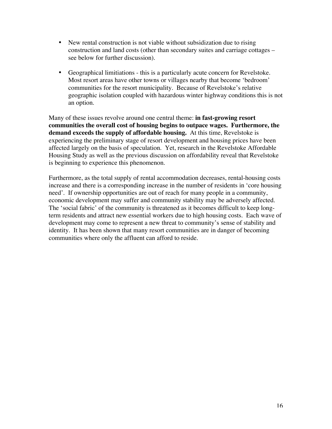New rental construction is not viable without subsidization due to rising construction and land costs (other than secondary suites and carriage cottages – see below for further discussion).

Geographical limitiations - this is a particularly acute concern for Revelstoke. Most resort areas have other towns or villages nearby that become 'bedroom' communities for the resort municipality. Because of Revelstoke's relative geographic isolation coupled with hazardous winter highway conditions this is not an option.

Many of these issues revolve around one central theme: **in fast-growing resort communities the overall cost of housing begins to outpace wages. Furthermore, the demand exceeds the supply of affordable housing.** At this time, Revelstoke is experiencing the preliminary stage of resort development and housing prices have been affected largely on the basis of speculation. Yet, research in the Revelstoke Affordable Housing Study as well as the previous discussion on affordability reveal that Revelstoke is beginning to experience this phenomenon.

Furthermore, as the total supply of rental accommodation decreases, rental-housing costs increase and there is a corresponding increase in the number of residents in 'core housing need'. If ownership opportunities are out of reach for many people in a community, economic development may suffer and community stability may be adversely affected. The 'social fabric' of the community is threatened as it becomes difficult to keep longterm residents and attract new essential workers due to high housing costs. Each wave of development may come to represent a new threat to community's sense of stability and identity. It has been shown that many resort communities are in danger of becoming communities where only the affluent can afford to reside.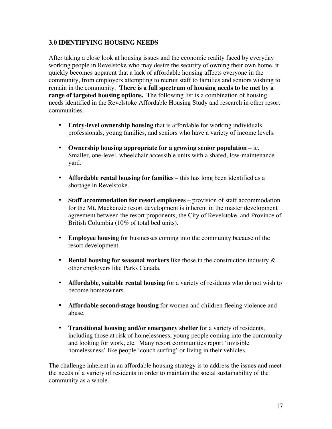### **3.0 IDENTIFYING HOUSING NEEDS**

After taking a close look at housing issues and the economic reality faced by everyday working people in Revelstoke who may desire the security of owning their own home, it quickly becomes apparent that a lack of affordable housing affects everyone in the community, from employers attempting to recruit staff to families and seniors wishing to remain in the community. **There is a full spectrum of housing needs to be met by a range of targeted housing options.** The following list is a combination of housing needs identified in the Revelstoke Affordable Housing Study and research in other resort communities.

**Entry-level ownership housing** that is affordable for working individuals, professionals, young families, and seniors who have a variety of income levels.

**Ownership housing appropriate for a growing senior population** – ie. Smaller, one-level, wheelchair accessible units with a shared, low-maintenance yard.

**Affordable rental housing for families** – this has long been identified as a shortage in Revelstoke.

**Staff accommodation for resort employees** – provision of staff accommodation for the Mt. Mackenzie resort development is inherent in the master development agreement between the resort proponents, the City of Revelstoke, and Province of British Columbia (10% of total bed units).

**Employee housing** for businesses coming into the community because of the resort development.

**Rental housing for seasonal workers** like those in the construction industry & other employers like Parks Canada.

**Affordable, suitable rental housing** for a variety of residents who do not wish to become homeowners.

**Affordable second-stage housing** for women and children fleeing violence and abuse.

**Transitional housing and/or emergency shelter** for a variety of residents, including those at risk of homelessness, young people coming into the community and looking for work, etc. Many resort communities report 'invisible homelessness' like people 'couch surfing' or living in their vehicles.

The challenge inherent in an affordable housing strategy is to address the issues and meet the needs of a variety of residents in order to maintain the social sustainability of the community as a whole.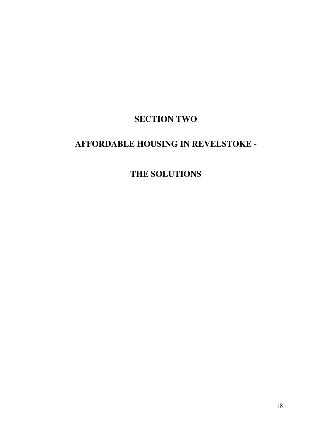## **SECTION TWO**

## **AFFORDABLE HOUSING IN REVELSTOKE -**

## **THE SOLUTIONS**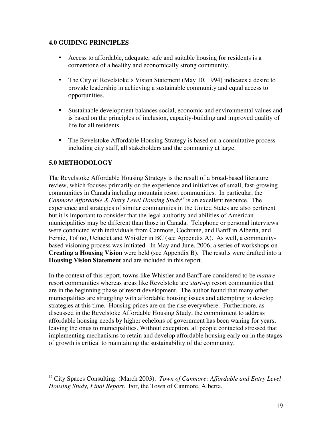### **4.0 GUIDING PRINCIPLES**

Access to affordable, adequate, safe and suitable housing for residents is a cornerstone of a healthy and economically strong community.

The City of Revelstoke's Vision Statement (May 10, 1994) indicates a desire to provide leadership in achieving a sustainable community and equal access to opportunities.

Sustainable development balances social, economic and environmental values and is based on the principles of inclusion, capacity-building and improved quality of life for all residents.

The Revelstoke Affordable Housing Strategy is based on a consultative process including city staff, all stakeholders and the community at large.

### **5.0 METHODOLOGY**

 $\overline{a}$ 

The Revelstoke Affordable Housing Strategy is the result of a broad-based literature review, which focuses primarily on the experience and initiatives of small, fast-growing communities in Canada including mountain resort communities. In particular, the *Canmore Affordable & Entry Level Housing Study*<sup>17</sup> is an excellent resource. The experience and strategies of similar communities in the United States are also pertinent but it is important to consider that the legal authority and abilities of American municipalities may be different than those in Canada. Telephone or personal interviews were conducted with individuals from Canmore, Cochrane, and Banff in Alberta, and Fernie, Tofino, Ucluelet and Whistler in BC (see Appendix A). As well, a communitybased visioning process was initiated. In May and June, 2006, a series of workshops on **Creating a Housing Vision** were held (see Appendix B). The results were drafted into a **Housing Vision Statement** and are included in this report.

In the context of this report, towns like Whistler and Banff are considered to be *mature* resort communities whereas areas like Revelstoke are *start-up* resort communities that are in the beginning phase of resort development. The author found that many other municipalities are struggling with affordable housing issues and attempting to develop strategies at this time. Housing prices are on the rise everywhere. Furthermore, as discussed in the Revelstoke Affordable Housing Study, the commitment to address affordable housing needs by higher echelons of government has been waning for years, leaving the onus to municipalities. Without exception, all people contacted stressed that implementing mechanisms to retain and develop affordable housing early on in the stages of growth is critical to maintaining the sustainability of the community.

<sup>&</sup>lt;sup>17</sup> City Spaces Consulting. (March 2003). *Town of Canmore: Affordable and Entry Level Housing Study, Final Report*. For, the Town of Canmore, Alberta.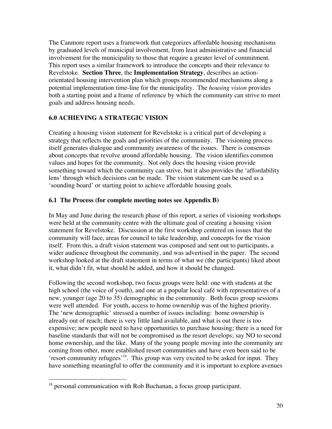The Canmore report uses a framework that categorizes affordable housing mechanisms by graduated levels of municipal involvement, from least administrative and financial involvement for the municipality to those that require a greater level of commitment. This report uses a similar framework to introduce the concepts and their relevance to Revelstoke. **Section Three**, the **Implementation Strategy**, describes an actionorientated housing intervention plan which groups recommended mechanisms along a potential implementation time-line for the municipality. The *housing vision* provides both a starting point and a frame of reference by which the community can strive to meet goals and address housing needs.

### **6.0 ACHIEVING A STRATEGIC VISION**

Creating a housing vision statement for Revelstoke is a critical part of developing a strategy that reflects the goals and priorities of the community. The visioning process itself generates dialogue and community awareness of the issues. There is consensus about concepts that revolve around affordable housing. The vision identifies common values and hopes for the community. Not only does the housing vision provide something toward which the community can strive, but it also provides the 'affordability lens' through which decisions can be made. The vision statement can be used as a 'sounding board' or starting point to achieve affordable housing goals.

### **6.1 The Process (for complete meeting notes see Appendix B)**

In May and June during the research phase of this report, a series of visioning workshops were held at the community centre with the ultimate goal of creating a housing vision statement for Revelstoke. Discussion at the first workshop centered on issues that the community will face, areas for council to take leadership, and concepts for the vision itself. From this, a draft vision statement was composed and sent out to participants, a wider audience throughout the community, and was advertised in the paper. The second workshop looked at the draft statement in terms of what we (the participants) liked about it, what didn't fit, what should be added, and how it should be changed.

Following the second workshop, two focus groups were held: one with students at the high school (the voice of youth), and one at a popular local café with representatives of a new, younger (age 20 to 35) demographic in the community. Both focus group sessions were well attended. For youth, access to home ownership was of the highest priority. The 'new demographic' stressed a number of issues including: home ownership is already out of reach; there is very little land available, and what is out there is too expensive; new people need to have opportunities to purchase housing; there is a need for baseline standards that will not be compromised as the resort develops; say NO to second home ownership, and the like. Many of the young people moving into the community are coming from other, more established resort communities and have even been said to be 'resort community refugees'<sup>18</sup>. This group was very excited to be asked for input. They have something meaningful to offer the community and it is important to explore avenues

<sup>&</sup>lt;sup>18</sup> personal communication with Rob Buchanan, a focus group participant.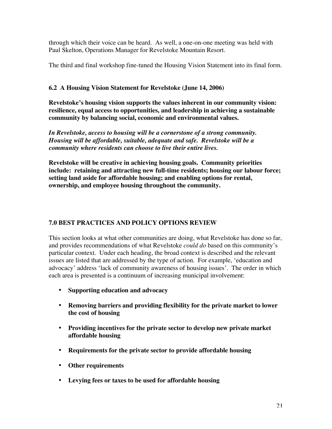through which their voice can be heard. As well, a one-on-one meeting was held with Paul Skelton, Operations Manager for Revelstoke Mountain Resort.

The third and final workshop fine-tuned the Housing Vision Statement into its final form.

### **6.2 A Housing Vision Statement for Revelstoke (June 14, 2006)**

**Revelstoke's housing vision supports the values inherent in our community vision: resilience, equal access to opportunities, and leadership in achieving a sustainable community by balancing social, economic and environmental values.**

*In Revelstoke, access to housing will be a cornerstone of a strong community. Housing will be affordable, suitable, adequate and safe. Revelstoke will be a community where residents can choose to live their entire lives.*

**Revelstoke will be creative in achieving housing goals. Community priorities include: retaining and attracting new full-time residents; housing our labour force; setting land aside for affordable housing; and enabling options for rental, ownership, and employee housing throughout the community.**

### **7.0 BEST PRACTICES AND POLICY OPTIONS REVIEW**

This section looks at what other communities are doing, what Revelstoke has done so far, and provides recommendations of what Revelstoke *could do* based on this community's particular context. Under each heading, the broad context is described and the relevant issues are listed that are addressed by the type of action. For example, 'education and advocacy' address 'lack of community awareness of housing issues'. The order in which each area is presented is a continuum of increasing municipal involvement:

### **Supporting education and advocacy**

**Removing barriers and providing flexibility for the private market to lower the cost of housing**

**Providing incentives for the private sector to develop new private market affordable housing**

**Requirements for the private sector to provide affordable housing**

**Other requirements**

**Levying fees or taxes to be used for affordable housing**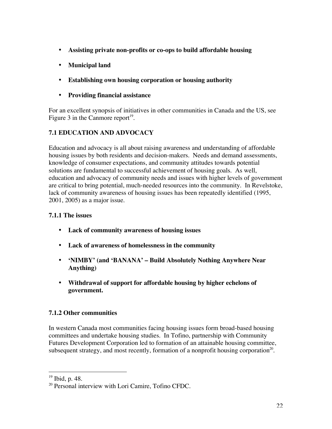### **Assisting private non-profits or co-ops to build affordable housing**

### **Municipal land**

**Establishing own housing corporation or housing authority**

### **Providing financial assistance**

For an excellent synopsis of initiatives in other communities in Canada and the US, see Figure 3 in the Canmore report $19$ .

### **7.1 EDUCATION AND ADVOCACY**

Education and advocacy is all about raising awareness and understanding of affordable housing issues by both residents and decision-makers. Needs and demand assessments, knowledge of consumer expectations, and community attitudes towards potential solutions are fundamental to successful achievement of housing goals. As well, education and advocacy of community needs and issues with higher levels of government are critical to bring potential, much-needed resources into the community. In Revelstoke, lack of community awareness of housing issues has been repeatedly identified (1995, 2001, 2005) as a major issue.

### **7.1.1 The issues**

**Lack of community awareness of housing issues**

**Lack of awareness of homelessness in the community**

**'NIMBY' (and 'BANANA' – Build Absolutely Nothing Anywhere Near Anything)**

**Withdrawal of support for affordable housing by higher echelons of government.**

### **7.1.2 Other communities**

In western Canada most communities facing housing issues form broad-based housing committees and undertake housing studies. In Tofino, partnership with Community Futures Development Corporation led to formation of an attainable housing committee, subsequent strategy, and most recently, formation of a nonprofit housing corporation<sup>20</sup>.

 $\overline{a}$ <sup>19</sup> Ibid, p. 48.

<sup>&</sup>lt;sup>20</sup> Personal interview with Lori Camire, Tofino CFDC.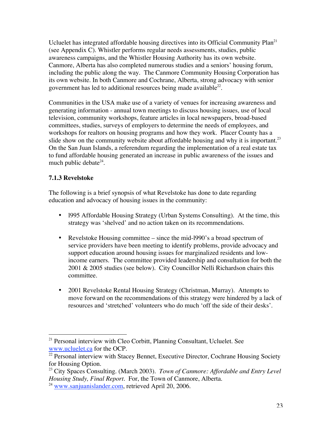Ucluelet has integrated affordable housing directives into its Official Community  $Plan<sup>21</sup>$ (see Appendix C). Whistler performs regular needs assessments, studies, public awareness campaigns, and the Whistler Housing Authority has its own website. Canmore, Alberta has also completed numerous studies and a seniors' housing forum, including the public along the way. The Canmore Community Housing Corporation has its own website. In both Canmore and Cochrane, Alberta, strong advocacy with senior government has led to additional resources being made available $^{22}$ .

Communities in the USA make use of a variety of venues for increasing awareness and generating information - annual town meetings to discuss housing issues, use of local television, community workshops, feature articles in local newspapers, broad-based committees, studies, surveys of employers to determine the needs of employees, and workshops for realtors on housing programs and how they work. Placer County has a slide show on the community website about affordable housing and why it is important.<sup>23</sup> On the San Juan Islands, a referendum regarding the implementation of a real estate tax to fund affordable housing generated an increase in public awareness of the issues and much public debate<sup>24</sup>.

### **7.1.3 Revelstoke**

The following is a brief synopsis of what Revelstoke has done to date regarding education and advocacy of housing issues in the community:

l995 Affordable Housing Strategy (Urban Systems Consulting). At the time, this strategy was 'shelved' and no action taken on its recommendations.

Revelstoke Housing committee – since the mid-l990's a broad spectrum of service providers have been meeting to identify problems, provide advocacy and support education around housing issues for marginalized residents and lowincome earners. The committee provided leadership and consultation for both the 2001 & 2005 studies (see below). City Councillor Nelli Richardson chairs this committee.

2001 Revelstoke Rental Housing Strategy (Christman, Murray). Attempts to move forward on the recommendations of this strategy were hindered by a lack of resources and 'stretched' volunteers who do much 'off the side of their desks'.

<sup>&</sup>lt;sup>21</sup> Personal interview with Cleo Corbitt, Planning Consultant, Ucluelet. See www.ucluelet.ca for the OCP.

<sup>&</sup>lt;sup>22</sup> Personal interview with Stacey Bennet, Executive Director, Cochrane Housing Society for Housing Option.

<sup>23</sup> City Spaces Consulting. (March 2003). *Town of Canmore: Affordable and Entry Level Housing Study, Final Report*. For, the Town of Canmore, Alberta.

 $24$  www.sanjuanislander.com, retrieved April 20, 2006.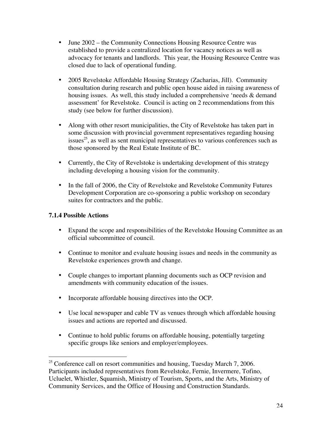June 2002 – the Community Connections Housing Resource Centre was established to provide a centralized location for vacancy notices as well as advocacy for tenants and landlords. This year, the Housing Resource Centre was closed due to lack of operational funding.

2005 Revelstoke Affordable Housing Strategy (Zacharias, Jill). Community consultation during research and public open house aided in raising awareness of housing issues. As well, this study included a comprehensive 'needs & demand assessment' for Revelstoke. Council is acting on 2 recommendations from this study (see below for further discussion).

Along with other resort municipalities, the City of Revelstoke has taken part in some discussion with provincial government representatives regarding housing issues<sup>25</sup>, as well as sent municipal representatives to various conferences such as those sponsored by the Real Estate Institute of BC.

Currently, the City of Revelstoke is undertaking development of this strategy including developing a housing vision for the community.

In the fall of 2006, the City of Revelstoke and Revelstoke Community Futures Development Corporation are co-sponsoring a public workshop on secondary suites for contractors and the public.

#### **7.1.4 Possible Actions**

 $\overline{a}$ 

Expand the scope and responsibilities of the Revelstoke Housing Committee as an official subcommittee of council.

Continue to monitor and evaluate housing issues and needs in the community as Revelstoke experiences growth and change.

Couple changes to important planning documents such as OCP revision and amendments with community education of the issues.

Incorporate affordable housing directives into the OCP.

Use local newspaper and cable TV as venues through which affordable housing issues and actions are reported and discussed.

Continue to hold public forums on affordable housing, potentially targeting specific groups like seniors and employer/employees.

 $25$  Conference call on resort communities and housing, Tuesday March 7, 2006. Participants included representatives from Revelstoke, Fernie, Invermere, Tofino, Ucluelet, Whistler, Squamish, Ministry of Tourism, Sports, and the Arts, Ministry of Community Services, and the Office of Housing and Construction Standards.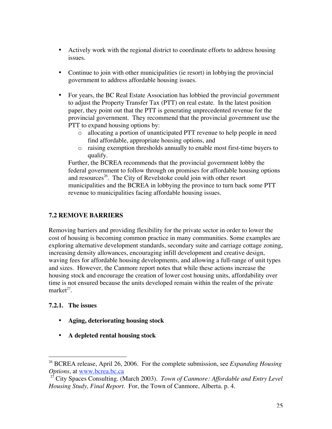Actively work with the regional district to coordinate efforts to address housing issues.

Continue to join with other municipalities (ie resort) in lobbying the provincial government to address affordable housing issues.

For years, the BC Real Estate Association has lobbied the provincial government to adjust the Property Transfer Tax (PTT) on real estate. In the latest position paper, they point out that the PTT is generating unprecedented revenue for the provincial government. They recommend that the provincial government use the PTT to expand housing options by:

- o allocating a portion of unanticipated PTT revenue to help people in need find affordable, appropriate housing options, and
- o raising exemption thresholds annually to enable most first-time buyers to qualify.

Further, the BCREA recommends that the provincial government lobby the federal government to follow through on promises for affordable housing options and resources<sup>26</sup>. The City of Revelstoke could join with other resort municipalities and the BCREA in lobbying the province to turn back some PTT revenue to municipalities facing affordable housing issues.

### **7.2 REMOVE BARRIERS**

Removing barriers and providing flexibility for the private sector in order to lower the cost of housing is becoming common practice in many communities. Some examples are exploring alternative development standards, secondary suite and carriage cottage zoning, increasing density allowances, encouraging infill development and creative design, waving fees for affordable housing developments, and allowing a full-range of unit types and sizes. However, the Canmore report notes that while these actions increase the housing stock and encourage the creation of lower cost housing units, affordability over time is not ensured because the units developed remain within the realm of the private  $market^{27}$ .

### **7.2.1. The issues**

### **Aging, deteriorating housing stock**

### **A depleted rental housing stock**

 26 BCREA release, April 26, 2006. For the complete submission, see *Expanding Housing Options*, at www.bcrea.bc.ca

<sup>27</sup> City Spaces Consulting. (March 2003). *Town of Canmore: Affordable and Entry Level Housing Study, Final Report*. For, the Town of Canmore, Alberta. p. 4.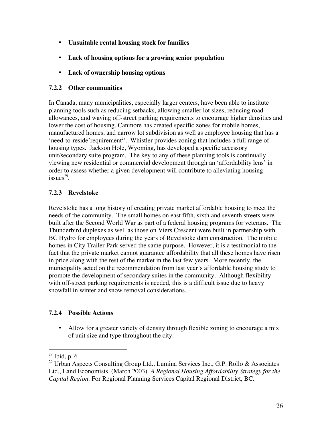### **Unsuitable rental housing stock for families**

### **Lack of housing options for a growing senior population**

### **Lack of ownership housing options**

### **7.2.2 Other communities**

In Canada, many municipalities, especially larger centers, have been able to institute planning tools such as reducing setbacks, allowing smaller lot sizes, reducing road allowances, and waving off-street parking requirements to encourage higher densities and lower the cost of housing. Canmore has created specific zones for mobile homes, manufactured homes, and narrow lot subdivision as well as employee housing that has a 'need-to-reside'requirement<sup>28</sup>. Whistler provides zoning that includes a full range of housing types. Jackson Hole, Wyoming, has developed a specific accessory unit/secondary suite program. The key to any of these planning tools is continually viewing new residential or commercial development through an 'affordability lens' in order to assess whether a given development will contribute to alleviating housing  $issues^{29}$ .

### **7.2.3 Revelstoke**

Revelstoke has a long history of creating private market affordable housing to meet the needs of the community. The small homes on east fifth, sixth and seventh streets were built after the Second World War as part of a federal housing programs for veterans. The Thunderbird duplexes as well as those on Viers Crescent were built in partnership with BC Hydro for employees during the years of Revelstoke dam construction. The mobile homes in City Trailer Park served the same purpose. However, it is a testimonial to the fact that the private market cannot guarantee affordability that all these homes have risen in price along with the rest of the market in the last few years. More recently, the municipality acted on the recommendation from last year's affordable housing study to promote the development of secondary suites in the community. Although flexibility with off-street parking requirements is needed, this is a difficult issue due to heavy snowfall in winter and snow removal considerations.

### **7.2.4 Possible Actions**

Allow for a greater variety of density through flexible zoning to encourage a mix of unit size and type throughout the city.

 $\overline{a}$ 

<sup>28</sup> Ibid, p. 6

<sup>&</sup>lt;sup>29</sup> Urban Aspects Consulting Group Ltd., Lumina Services Inc., G.P. Rollo & Associates Ltd., Land Economists. (March 2003). *A Regional Housing Affordability Strategy for the Capital Region.* For Regional Planning Services Capital Regional District, BC.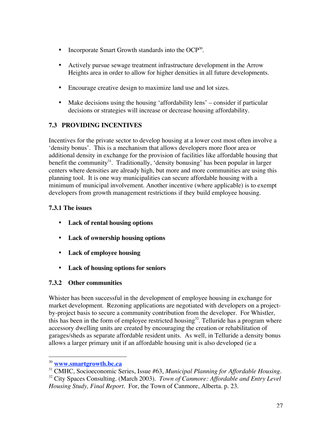Incorporate Smart Growth standards into the  $OCP^{30}$ .

Actively pursue sewage treatment infrastructure development in the Arrow Heights area in order to allow for higher densities in all future developments.

Encourage creative design to maximize land use and lot sizes.

Make decisions using the housing 'affordability lens' – consider if particular decisions or strategies will increase or decrease housing affordability.

### **7.3 PROVIDING INCENTIVES**

Incentives for the private sector to develop housing at a lower cost most often involve a 'density bonus'. This is a mechanism that allows developers more floor area or additional density in exchange for the provision of facilities like affordable housing that benefit the community<sup>31</sup>. Traditionally, 'density bonusing' has been popular in larger centers where densities are already high, but more and more communities are using this planning tool. It is one way municipalities can secure affordable housing with a minimum of municipal involvement. Another incentive (where applicable) is to exempt developers from growth management restrictions if they build employee housing.

### **7.3.1 The issues**

**Lack of rental housing options Lack of ownership housing options Lack of employee housing**

**Lack of housing options for seniors**

### **7.3.2 Other communities**

Whister has been successful in the development of employee housing in exchange for market development. Rezoning applications are negotiated with developers on a projectby-project basis to secure a community contribution from the developer. For Whistler, this has been in the form of employee restricted housing<sup>32</sup>. Telluride has a program where accessory dwelling units are created by encouraging the creation or rehabilitation of garages/sheds as separate affordable resident units. As well, in Telluride a density bonus allows a larger primary unit if an affordable housing unit is also developed (ie a

 $\overline{a}$ 

<sup>30</sup> **www.smartgrowth.bc.ca**

<sup>31</sup> CMHC, Socioeconomic Series, Issue #63, *Municipal Planning for Affordable Housing.* 32 City Spaces Consulting. (March 2003). *Town of Canmore: Affordable and Entry Level Housing Study, Final Report*. For, the Town of Canmore, Alberta. p. 23.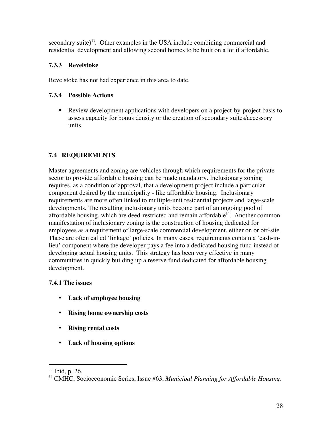secondary suite)<sup>33</sup>. Other examples in the USA include combining commercial and residential development and allowing second homes to be built on a lot if affordable.

### **7.3.3 Revelstoke**

Revelstoke has not had experience in this area to date.

### **7.3.4 Possible Actions**

Review development applications with developers on a project-by-project basis to assess capacity for bonus density or the creation of secondary suites/accessory units.

### **7.4 REQUIREMENTS**

Master agreements and zoning are vehicles through which requirements for the private sector to provide affordable housing can be made mandatory. Inclusionary zoning requires, as a condition of approval, that a development project include a particular component desired by the municipality - like affordable housing. Inclusionary requirements are more often linked to multiple-unit residential projects and large-scale developments. The resulting inclusionary units become part of an ongoing pool of affordable housing, which are deed-restricted and remain affordable<sup>34</sup>. Another common manifestation of inclusionary zoning is the construction of housing dedicated for employees as a requirement of large-scale commercial development, either on or off-site. These are often called 'linkage' policies. In many cases, requirements contain a 'cash-inlieu' component where the developer pays a fee into a dedicated housing fund instead of developing actual housing units. This strategy has been very effective in many communities in quickly building up a reserve fund dedicated for affordable housing development.

### **7.4.1 The issues**

**Lack of employee housing**

**Rising home ownership costs**

**Rising rental costs**

**Lack of housing options**

 33 Ibid, p. 26.

<sup>34</sup> CMHC, Socioeconomic Series, Issue #63, *Municipal Planning for Affordable Housing.*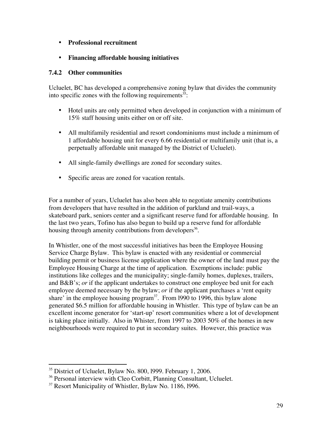### **Professional recruitment**

### **Financing affordable housing initiatives**

#### **7.4.2 Other communities**

Ucluelet, BC has developed a comprehensive zoning bylaw that divides the community into specific zones with the following requirements<sup>35</sup>:

Hotel units are only permitted when developed in conjunction with a minimum of 15% staff housing units either on or off site.

All multifamily residential and resort condominiums must include a minimum of 1 affordable housing unit for every 6.66 residential or multifamily unit (that is, a perpetually affordable unit managed by the District of Ucluelet).

All single-family dwellings are zoned for secondary suites.

Specific areas are zoned for vacation rentals.

For a number of years, Ucluelet has also been able to negotiate amenity contributions from developers that have resulted in the addition of parkland and trail-ways, a skateboard park, seniors center and a significant reserve fund for affordable housing. In the last two years, Tofino has also begun to build up a reserve fund for affordable housing through amenity contributions from developers<sup>36</sup>.

In Whistler, one of the most successful initiatives has been the Employee Housing Service Charge Bylaw. This bylaw is enacted with any residential or commercial building permit or business license application where the owner of the land must pay the Employee Housing Charge at the time of application. Exemptions include: public institutions like colleges and the municipality; single-family homes, duplexes, trailers, and B&B's; *or* if the applicant undertakes to construct one employee bed unit for each employee deemed necessary by the bylaw; *or* if the applicant purchases a 'rent equity share' in the employee housing program<sup>37</sup>. From 1990 to 1996, this bylaw alone generated \$6.5 million for affordable housing in Whistler. This type of bylaw can be an excellent income generator for 'start-up' resort communities where a lot of development is taking place initially. Also in Whister, from 1997 to 2003 50% of the homes in new neighbourhoods were required to put in secondary suites. However, this practice was

<sup>&</sup>lt;sup>35</sup> District of Ucluelet, Bylaw No. 800, 1999. February 1, 2006.

<sup>&</sup>lt;sup>36</sup> Personal interview with Cleo Corbitt, Planning Consultant, Ucluelet.

<sup>&</sup>lt;sup>37</sup> Resort Municipality of Whistler, Bylaw No. 1186, 1996.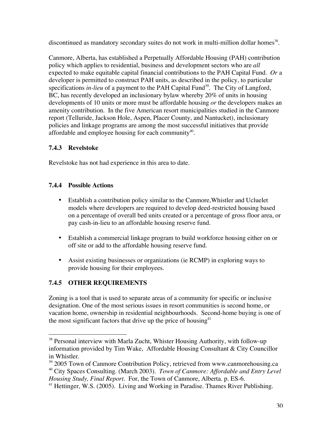discontinued as mandatory secondary suites do not work in multi-million dollar homes<sup>38</sup>.

Canmore, Alberta, has established a Perpetually Affordable Housing (PAH) contribution policy which applies to residential, business and development sectors who are *all* expected to make equitable capital financial contributions to the PAH Capital Fund. *Or* a developer is permitted to construct PAH units, as described in the policy, to particular specifications *in-lieu* of a payment to the PAH Capital Fund<sup>39</sup>. The City of Langford, BC, has recently developed an inclusionary bylaw whereby 20% of units in housing developments of 10 units or more must be affordable housing *or* the developers makes an amenity contribution. In the five American resort municipalities studied in the Canmore report (Telluride, Jackson Hole, Aspen, Placer County, and Nantucket), inclusionary policies and linkage programs are among the most successful initiatives that provide affordable and employee housing for each community $^{40}$ .

### **7.4.3 Revelstoke**

Revelstoke has not had experience in this area to date.

### **7.4.4 Possible Actions**

Establish a contribution policy similar to the Canmore,Whistler and Ucluelet models where developers are required to develop deed-restricted housing based on a percentage of overall bed units created or a percentage of gross floor area, or pay cash-in-lieu to an affordable housing reserve fund.

Establish a commercial linkage program to build workforce housing either on or off site or add to the affordable housing reserve fund.

Assist existing businesses or organizations (ie RCMP) in exploring ways to provide housing for their employees.

### **7.4.5 OTHER REQUIREMENTS**

Zoning is a tool that is used to separate areas of a community for specific or inclusive designation. One of the most serious issues in resort communities is second home, or vacation home, ownership in residential neighbourhoods. Second-home buying is one of the most significant factors that drive up the price of housing  $41$ 

*Housing Study, Final Report*. For, the Town of Canmore, Alberta. p. ES-6.

<sup>&</sup>lt;sup>38</sup> Personal interview with Marla Zucht, Whister Housing Authority, with follow-up information provided by Tim Wake, Affordable Housing Consultant & City Councillor in Whistler.

<sup>&</sup>lt;sup>39</sup> 2005 Town of Canmore Contribution Policy, retrieved from www.canmorehousing.ca 40 City Spaces Consulting. (March 2003). *Town of Canmore: Affordable and Entry Level*

<sup>&</sup>lt;sup>41</sup> Hettinger, W.S. (2005). Living and Working in Paradise. Thames River Publishing.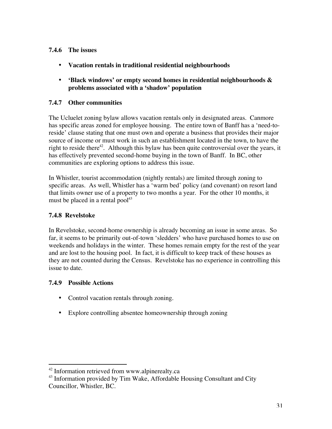### **7.4.6 The issues**

**Vacation rentals in traditional residential neighbourhoods**

**'Black windows' or empty second homes in residential neighbourhoods & problems associated with a 'shadow' population**

### **7.4.7 Other communities**

The Ucluelet zoning bylaw allows vacation rentals only in designated areas. Canmore has specific areas zoned for employee housing. The entire town of Banff has a 'need-toreside' clause stating that one must own and operate a business that provides their major source of income or must work in such an establishment located in the town, to have the right to reside there<sup>42</sup>. Although this bylaw has been quite controversial over the years, it has effectively prevented second-home buying in the town of Banff. In BC, other communities are exploring options to address this issue.

In Whistler, tourist accommodation (nightly rentals) are limited through zoning to specific areas. As well, Whistler has a 'warm bed' policy (and covenant) on resort land that limits owner use of a property to two months a year. For the other 10 months, it must be placed in a rental pool $^{43}$ 

### **7.4.8 Revelstoke**

In Revelstoke, second-home ownership is already becoming an issue in some areas. So far, it seems to be primarily out-of-town 'sledders' who have purchased homes to use on weekends and holidays in the winter. These homes remain empty for the rest of the year and are lost to the housing pool. In fact, it is difficult to keep track of these houses as they are not counted during the Census. Revelstoke has no experience in controlling this issue to date.

### **7.4.9 Possible Actions**

Control vacation rentals through zoning.

Explore controlling absentee homeownership through zoning

 42 Information retrieved from www.alpinerealty.ca

<sup>&</sup>lt;sup>43</sup> Information provided by Tim Wake, Affordable Housing Consultant and City Councillor, Whistler, BC.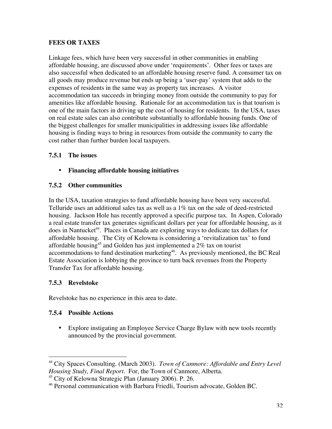### **FEES OR TAXES**

Linkage fees, which have been very successful in other communities in enabling affordable housing, are discussed above under 'requirements'. Other fees or taxes are also successful when dedicated to an affordable housing reserve fund. A consumer tax on all goods may produce revenue but ends up being a 'user-pay' system that adds to the expenses of residents in the same way as property tax increases. A visitor accommodation tax succeeds in bringing money from outside the community to pay for amenities like affordable housing. Rationale for an accommodation tax is that tourism is one of the main factors in driving up the cost of housing for residents. In the USA, taxes on real estate sales can also contribute substantially to affordable housing funds. One of the biggest challenges for smaller municipalities in addressing issues like affordable housing is finding ways to bring in resources from outside the community to carry the cost rather than further burden local taxpayers.

### **7.5.1 The issues**

### **Financing affordable housing initiatives**

### **7.5.2 Other communities**

In the USA, taxation strategies to fund affordable housing have been very successful. Telluride uses an additional sales tax as well as a 1% tax on the sale of deed-restricted housing. Jackson Hole has recently approved a specific purpose tax. In Aspen, Colorado a real estate transfer tax generates significant dollars per year for affordable housing, as it does in Nantucket<sup>44</sup>. Places in Canada are exploring ways to dedicate tax dollars for affordable housing. The City of Kelowna is considering a 'revitalization tax' to fund affordable housing $^{45}$  and Golden has just implemented a 2% tax on tourist accommodations to fund destination marketing<sup>46</sup>. As previously mentioned, the BC Real Estate Association is lobbying the province to turn back revenues from the Property Transfer Tax for affordable housing.

### **7.5.3 Revelstoke**

 $\overline{a}$ 

Revelstoke has no experience in this area to date.

### **7.5.4 Possible Actions**

Explore instigating an Employee Service Charge Bylaw with new tools recently announced by the provincial government.

<sup>&</sup>lt;sup>44</sup> City Spaces Consulting. (March 2003). *Town of Canmore: Affordable and Entry Level Housing Study, Final Report*. For, the Town of Canmore, Alberta.

<sup>&</sup>lt;sup>45</sup> City of Kelowna Strategic Plan (January 2006). P. 26.

<sup>46</sup> Personal communication with Barbara Friedli, Tourism advocate, Golden BC.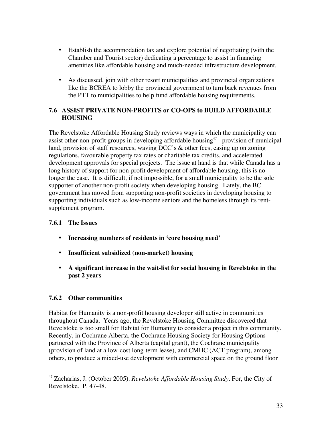Establish the accommodation tax and explore potential of negotiating (with the Chamber and Tourist sector) dedicating a percentage to assist in financing amenities like affordable housing and much-needed infrastructure development.

As discussed, join with other resort municipalities and provincial organizations like the BCREA to lobby the provincial government to turn back revenues from the PTT to municipalities to help fund affordable housing requirements.

### **7.6 ASSIST PRIVATE NON-PROFITS or CO-OPS to BUILD AFFORDABLE HOUSING**

The Revelstoke Affordable Housing Study reviews ways in which the municipality can assist other non-profit groups in developing affordable housing $47$  - provision of municipal land, provision of staff resources, waving DCC's & other fees, easing up on zoning regulations, favourable property tax rates or charitable tax credits, and accelerated development approvals for special projects. The issue at hand is that while Canada has a long history of support for non-profit development of affordable housing, this is no longer the case. It is difficult, if not impossible, for a small municipality to be the sole supporter of another non-profit society when developing housing. Lately, the BC government has moved from supporting non-profit societies in developing housing to supporting individuals such as low-income seniors and the homeless through its rentsupplement program.

### **7.6.1 The Issues**

**Increasing numbers of residents in 'core housing need'**

**Insufficient subsidized (non-market) housing**

**A significant increase in the wait-list for social housing in Revelstoke in the past 2 years**

### **7.6.2 Other communities**

 $\overline{a}$ 

Habitat for Humanity is a non-profit housing developer still active in communities throughout Canada. Years ago, the Revelstoke Housing Committee discovered that Revelstoke is too small for Habitat for Humanity to consider a project in this community. Recently, in Cochrane Alberta, the Cochrane Housing Society for Housing Options partnered with the Province of Alberta (capital grant), the Cochrane municipality (provision of land at a low-cost long-term lease), and CMHC (ACT program), among others, to produce a mixed-use development with commercial space on the ground floor

<sup>47</sup> Zacharias, J. (October 2005). *Revelstoke Affordable Housing Study.* For, the City of Revelstoke. P. 47-48.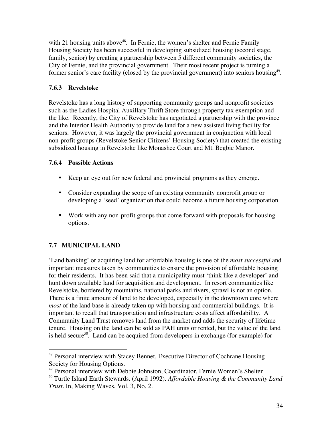with 21 housing units above<sup>48</sup>. In Fernie, the women's shelter and Fernie Family Housing Society has been successful in developing subsidized housing (second stage, family, senior) by creating a partnership between 5 different community societies, the City of Fernie, and the provincial government. Their most recent project is turning a former senior's care facility (closed by the provincial government) into seniors housing<sup>49</sup>.

### **7.6.3 Revelstoke**

Revelstoke has a long history of supporting community groups and nonprofit societies such as the Ladies Hospital Auxillary Thrift Store through property tax exemption and the like. Recently, the City of Revelstoke has negotiated a partnership with the province and the Interior Health Authority to provide land for a new assisted living facility for seniors. However, it was largely the provincial government in conjunction with local non-profit groups (Revelstoke Senior Citizens' Housing Society) that created the existing subsidized housing in Revelstoke like Monashee Court and Mt. Begbie Manor.

### **7.6.4 Possible Actions**

Keep an eye out for new federal and provincial programs as they emerge.

Consider expanding the scope of an existing community nonprofit group or developing a 'seed' organization that could become a future housing corporation.

Work with any non-profit groups that come forward with proposals for housing options.

### **7.7 MUNICIPAL LAND**

'Land banking' or acquiring land for affordable housing is one of the *most successful* and important measures taken by communities to ensure the provision of affordable housing for their residents. It has been said that a municipality must 'think like a developer' and hunt down available land for acquisition and development. In resort communities like Revelstoke, bordered by mountains, national parks and rivers, sprawl is not an option. There is a finite amount of land to be developed, especially in the downtown core where *most* of the land base is already taken up with housing and commercial buildings. It is important to recall that transportation and infrastructure costs affect affordability. A Community Land Trust removes land from the market and adds the security of lifetime tenure. Housing on the land can be sold as PAH units or rented, but the value of the land is held secure<sup>50</sup>. Land can be acquired from developers in exchange (for example) for

 48 Personal interview with Stacey Bennet, Executive Director of Cochrane Housing Society for Housing Options.

<sup>49</sup> Personal interview with Debbie Johnston, Coordinator, Fernie Women's Shelter

<sup>50</sup> Turtle Island Earth Stewards. (April 1992). *Affordable Housing & the Community Land Trust.* In, Making Waves, Vol. 3, No. 2.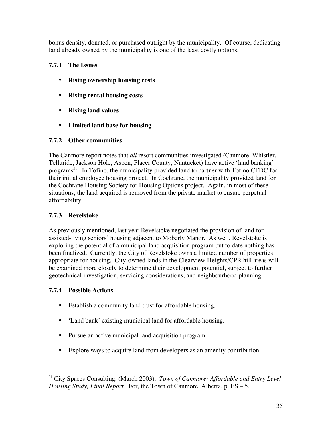bonus density, donated, or purchased outright by the municipality. Of course, dedicating land already owned by the municipality is one of the least costly options.

### **7.7.1 The Issues**

**Rising ownership housing costs**

**Rising rental housing costs**

**Rising land values**

**Limited land base for housing**

### **7.7.2 Other communities**

The Canmore report notes that *all* resort communities investigated (Canmore, Whistler, Telluride, Jackson Hole, Aspen, Placer County, Nantucket) have active 'land banking' programs<sup>51</sup>. In Tofino, the municipality provided land to partner with Tofino CFDC for their initial employee housing project. In Cochrane, the municipality provided land for the Cochrane Housing Society for Housing Options project. Again, in most of these situations, the land acquired is removed from the private market to ensure perpetual affordability.

### **7.7.3 Revelstoke**

As previously mentioned, last year Revelstoke negotiated the provision of land for assisted-living seniors' housing adjacent to Moberly Manor. As well, Revelstoke is exploring the potential of a municipal land acquisition program but to date nothing has been finalized. Currently, the City of Revelstoke owns a limited number of properties appropriate for housing. City-owned lands in the Clearview Heights/CPR hill areas will be examined more closely to determine their development potential, subject to further geotechnical investigation, servicing considerations, and neighbourhood planning.

### **7.7.4 Possible Actions**

Establish a community land trust for affordable housing.

'Land bank' existing municipal land for affordable housing.

Pursue an active municipal land acquisition program.

Explore ways to acquire land from developers as an amenity contribution.

 $\overline{a}$ 51 City Spaces Consulting. (March 2003). *Town of Canmore: Affordable and Entry Level Housing Study, Final Report*. For, the Town of Canmore, Alberta. p. ES – 5.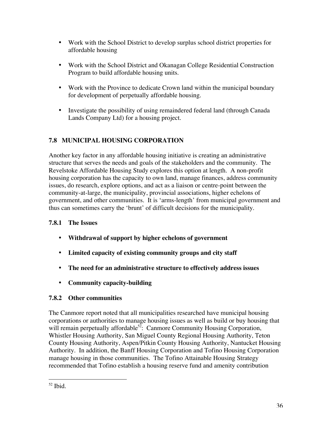Work with the School District to develop surplus school district properties for affordable housing

Work with the School District and Okanagan College Residential Construction Program to build affordable housing units.

Work with the Province to dedicate Crown land within the municipal boundary for development of perpetually affordable housing.

Investigate the possibility of using remaindered federal land (through Canada Lands Company Ltd) for a housing project.

### **7.8 MUNICIPAL HOUSING CORPORATION**

Another key factor in any affordable housing initiative is creating an administrative structure that serves the needs and goals of the stakeholders and the community. The Revelstoke Affordable Housing Study explores this option at length. A non-profit housing corporation has the capacity to own land, manage finances, address community issues, do research, explore options, and act as a liaison or centre-point between the community-at-large, the municipality, provincial associations, higher echelons of government, and other communities. It is 'arms-length' from municipal government and thus can sometimes carry the 'brunt' of difficult decisions for the municipality.

### **7.8.1 The Issues**

**Withdrawal of support by higher echelons of government**

**Limited capacity of existing community groups and city staff**

**The need for an administrative structure to effectively address issues**

**Community capacity-building**

### **7.8.2 Other communities**

The Canmore report noted that all municipalities researched have municipal housing corporations or authorities to manage housing issues as well as build or buy housing that will remain perpetually affordable<sup>52</sup>: Canmore Community Housing Corporation, Whistler Housing Authority, San Miguel County Regional Housing Authority, Teton County Housing Authority, Aspen/Pitkin County Housing Authority, Nantucket Housing Authority. In addition, the Banff Housing Corporation and Tofino Housing Corporation manage housing in those communities. The Tofino Attainable Housing Strategy recommended that Tofino establish a housing reserve fund and amenity contribution

 $\overline{a}$  $52$  Ibid.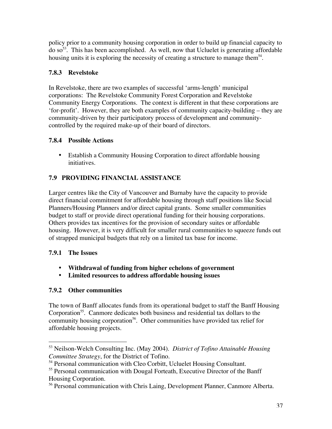policy prior to a community housing corporation in order to build up financial capacity to do so<sup>53</sup>. This has been accomplished. As well, now that Ucluelet is generating affordable housing units it is exploring the necessity of creating a structure to manage them $54$ .

### **7.8.3 Revelstoke**

In Revelstoke, there are two examples of successful 'arms-length' municipal corporations: The Revelstoke Community Forest Corporation and Revelstoke Community Energy Corporations. The context is different in that these corporations are 'for-profit'. However, they are both examples of community capacity-building – they are community-driven by their participatory process of development and communitycontrolled by the required make-up of their board of directors.

### **7.8.4 Possible Actions**

Establish a Community Housing Corporation to direct affordable housing initiatives.

### **7.9 PROVIDING FINANCIAL ASSISTANCE**

Larger centres like the City of Vancouver and Burnaby have the capacity to provide direct financial commitment for affordable housing through staff positions like Social Planners/Housing Planners and/or direct capital grants. Some smaller communities budget to staff or provide direct operational funding for their housing corporations. Others provides tax incentives for the provision of secondary suites or affordable housing. However, it is very difficult for smaller rural communities to squeeze funds out of strapped municipal budgets that rely on a limited tax base for income.

### **7.9.1 The Issues**

### **Withdrawal of funding from higher echelons of government Limited resources to address affordable housing issues**

### **7.9.2 Other communities**

The town of Banff allocates funds from its operational budget to staff the Banff Housing Corporation<sup>55</sup>. Canmore dedicates both business and residential tax dollars to the community housing corporation<sup>56</sup>. Other communities have provided tax relief for affordable housing projects.

 53 Neilson-Welch Consulting Inc. (May 2004). *District of Tofino Attainable Housing Committee Strategy*, for the District of Tofino.

<sup>&</sup>lt;sup>54</sup> Personal communication with Cleo Corbitt, Ucluelet Housing Consultant.

<sup>&</sup>lt;sup>55</sup> Personal communication with Dougal Forteath, Executive Director of the Banff Housing Corporation.

<sup>&</sup>lt;sup>56</sup> Personal communication with Chris Laing, Development Planner, Canmore Alberta.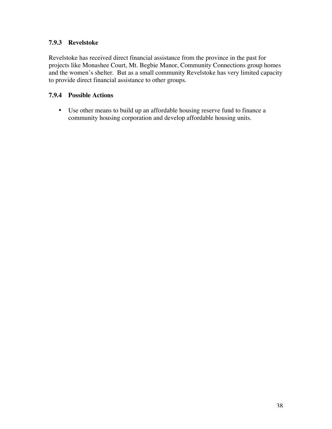### **7.9.3 Revelstoke**

Revelstoke has received direct financial assistance from the province in the past for projects like Monashee Court, Mt. Begbie Manor, Community Connections group homes and the women's shelter. But as a small community Revelstoke has very limited capacity to provide direct financial assistance to other groups.

### **7.9.4 Possible Actions**

Use other means to build up an affordable housing reserve fund to finance a community housing corporation and develop affordable housing units.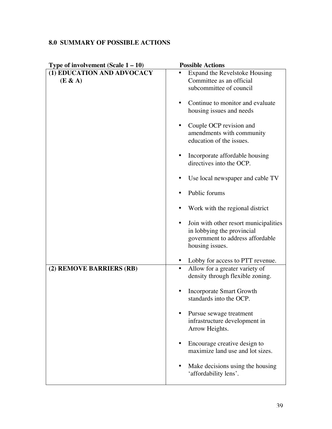### **8.0 SUMMARY OF POSSIBLE ACTIONS**

| Type of involvement (Scale $1 - 10$ ) | <b>Possible Actions</b>               |
|---------------------------------------|---------------------------------------|
| (1) EDUCATION AND ADVOCACY            | Expand the Revelstoke Housing         |
| (E & A)                               | Committee as an official              |
|                                       | subcommittee of council               |
|                                       |                                       |
|                                       | Continue to monitor and evaluate      |
|                                       | housing issues and needs              |
|                                       |                                       |
|                                       | Couple OCP revision and               |
|                                       | amendments with community             |
|                                       | education of the issues.              |
|                                       | Incorporate affordable housing        |
|                                       | directives into the OCP.              |
|                                       |                                       |
|                                       | Use local newspaper and cable TV      |
|                                       |                                       |
|                                       | Public forums                         |
|                                       |                                       |
|                                       | Work with the regional district       |
|                                       |                                       |
|                                       | Join with other resort municipalities |
|                                       | in lobbying the provincial            |
|                                       | government to address affordable      |
|                                       | housing issues.                       |
|                                       | Lobby for access to PTT revenue.      |
| (2) REMOVE BARRIERS (RB)              | Allow for a greater variety of        |
|                                       | density through flexible zoning.      |
|                                       |                                       |
|                                       | <b>Incorporate Smart Growth</b>       |
|                                       | standards into the OCP.               |
|                                       |                                       |
|                                       | Pursue sewage treatment               |
|                                       | infrastructure development in         |
|                                       | Arrow Heights.                        |
|                                       | Encourage creative design to          |
|                                       | maximize land use and lot sizes.      |
|                                       |                                       |
|                                       | Make decisions using the housing      |
|                                       | 'affordability lens'.                 |
|                                       |                                       |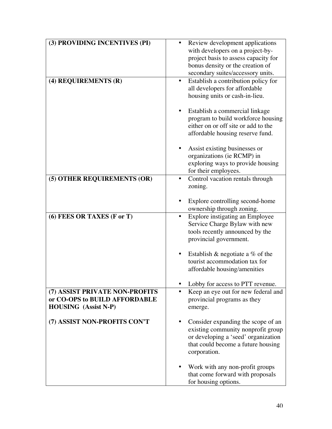| (3) PROVIDING INCENTIVES (PI)  | Review development applications      |  |
|--------------------------------|--------------------------------------|--|
|                                | with developers on a project-by-     |  |
|                                | project basis to assess capacity for |  |
|                                |                                      |  |
|                                | bonus density or the creation of     |  |
|                                | secondary suites/accessory units.    |  |
| (4) REQUIREMENTS (R)           | Establish a contribution policy for  |  |
|                                | all developers for affordable        |  |
|                                | housing units or cash-in-lieu.       |  |
|                                |                                      |  |
|                                | Establish a commercial linkage       |  |
|                                | program to build workforce housing   |  |
|                                | either on or off site or add to the  |  |
|                                | affordable housing reserve fund.     |  |
|                                |                                      |  |
|                                | Assist existing businesses or        |  |
|                                | organizations (ie RCMP) in           |  |
|                                | exploring ways to provide housing    |  |
|                                | for their employees.                 |  |
| (5) OTHER REQUIREMENTS (OR)    | Control vacation rentals through     |  |
|                                | zoning.                              |  |
|                                |                                      |  |
|                                |                                      |  |
|                                | Explore controlling second-home      |  |
|                                | ownership through zoning.            |  |
| (6) FEES OR TAXES (F or T)     | Explore instigating an Employee      |  |
|                                | Service Charge Bylaw with new        |  |
|                                | tools recently announced by the      |  |
|                                | provincial government.               |  |
|                                |                                      |  |
|                                | Establish & negotiate a $%$ of the   |  |
|                                | tourist accommodation tax for        |  |
|                                | affordable housing/amenities         |  |
|                                |                                      |  |
|                                | Lobby for access to PTT revenue.     |  |
| (7) ASSIST PRIVATE NON-PROFITS | Keep an eye out for new federal and  |  |
| or CO-OPS to BUILD AFFORDABLE  | provincial programs as they          |  |
| <b>HOUSING</b> (Assist N-P)    | emerge.                              |  |
|                                |                                      |  |
| (7) ASSIST NON-PROFITS CON'T   | Consider expanding the scope of an   |  |
|                                | existing community nonprofit group   |  |
|                                | or developing a 'seed' organization  |  |
|                                | that could become a future housing   |  |
|                                | corporation.                         |  |
|                                |                                      |  |
|                                |                                      |  |
|                                | Work with any non-profit groups      |  |
|                                | that come forward with proposals     |  |
|                                | for housing options.                 |  |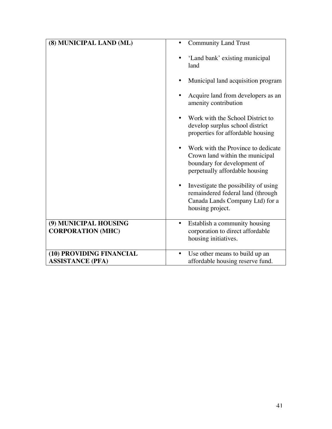| (8) MUNICIPAL LAND (ML)                             | <b>Community Land Trust</b>                                                                                                            |
|-----------------------------------------------------|----------------------------------------------------------------------------------------------------------------------------------------|
|                                                     | 'Land bank' existing municipal<br>land<br>Municipal land acquisition program                                                           |
|                                                     | Acquire land from developers as an<br>amenity contribution                                                                             |
|                                                     | Work with the School District to<br>develop surplus school district<br>properties for affordable housing                               |
|                                                     | Work with the Province to dedicate<br>Crown land within the municipal<br>boundary for development of<br>perpetually affordable housing |
|                                                     | Investigate the possibility of using<br>remaindered federal land (through<br>Canada Lands Company Ltd) for a<br>housing project.       |
| (9) MUNICIPAL HOUSING<br><b>CORPORATION (MHC)</b>   | Establish a community housing<br>corporation to direct affordable<br>housing initiatives.                                              |
| (10) PROVIDING FINANCIAL<br><b>ASSISTANCE (PFA)</b> | Use other means to build up an<br>affordable housing reserve fund.                                                                     |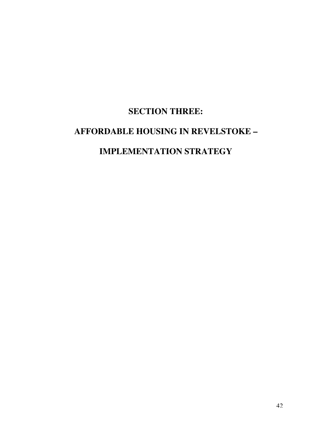## **SECTION THREE:**

## **AFFORDABLE HOUSING IN REVELSTOKE –**

## **IMPLEMENTATION STRATEGY**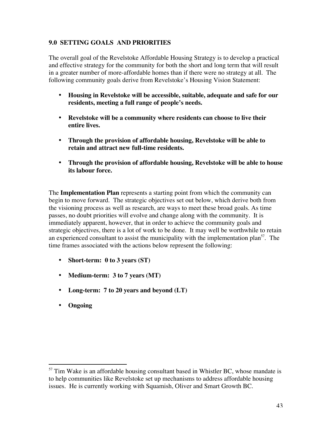### **9.0 SETTING GOALS AND PRIORITIES**

The overall goal of the Revelstoke Affordable Housing Strategy is to develop a practical and effective strategy for the community for both the short and long term that will result in a greater number of more-affordable homes than if there were no strategy at all. The following community goals derive from Revelstoke's Housing Vision Statement:

**Housing in Revelstoke will be accessible, suitable, adequate and safe for our residents, meeting a full range of people's needs.**

**Revelstoke will be a community where residents can choose to live their entire lives.**

**Through the provision of affordable housing, Revelstoke will be able to retain and attract new full-time residents.**

**Through the provision of affordable housing, Revelstoke will be able to house its labour force.**

The **Implementation Plan** represents a starting point from which the community can begin to move forward. The strategic objectives set out below, which derive both from the visioning process as well as research, are ways to meet these broad goals. As time passes, no doubt priorities will evolve and change along with the community. It is immediately apparent, however, that in order to achieve the community goals and strategic objectives, there is a lot of work to be done. It may well be worthwhile to retain an experienced consultant to assist the municipality with the implementation plan<sup>57</sup>. The time frames associated with the actions below represent the following:

**Short-term: 0 to 3 years (ST) Medium-term: 3 to 7 years (MT) Long-term: 7 to 20 years and beyond (LT) Ongoing**

<sup>&</sup>lt;sup>57</sup> Tim Wake is an affordable housing consultant based in Whistler BC, whose mandate is to help communities like Revelstoke set up mechanisms to address affordable housing issues. He is currently working with Squamish, Oliver and Smart Growth BC.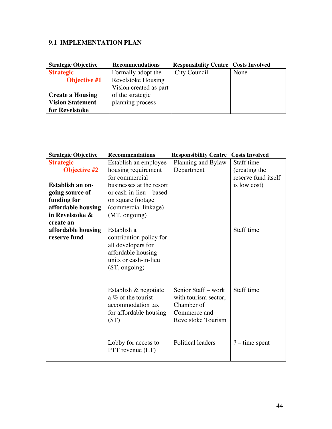### **9.1 IMPLEMENTATION PLAN**

| <b>Strategic Objective</b> | <b>Recommendations</b> | <b>Responsibility Centre Costs Involved</b> |      |
|----------------------------|------------------------|---------------------------------------------|------|
| <b>Strategic</b>           | Formally adopt the     | City Council                                | None |
| <b>Objective #1</b>        | Revelstoke Housing     |                                             |      |
|                            | Vision created as part |                                             |      |
| <b>Create a Housing</b>    | of the strategic       |                                             |      |
| <b>Vision Statement</b>    | planning process       |                                             |      |
| for Revelstoke             |                        |                                             |      |

| <b>Strategic Objective</b> | <b>Recommendations</b>                         | <b>Responsibility Centre</b> | <b>Costs Involved</b> |
|----------------------------|------------------------------------------------|------------------------------|-----------------------|
| <b>Strategic</b>           | Establish an employee                          | Planning and Bylaw           | Staff time            |
| <b>Objective #2</b>        | housing requirement                            | Department                   | (creating the         |
|                            | for commercial                                 |                              | reserve fund itself   |
| Establish an on-           | businesses at the resort                       |                              | is low cost)          |
| going source of            | or cash-in-lieu – based                        |                              |                       |
| funding for                | on square footage                              |                              |                       |
| affordable housing         | (commercial linkage)                           |                              |                       |
| in Revelstoke &            | (MT, ongoing)                                  |                              |                       |
| create an                  |                                                |                              |                       |
| affordable housing         | Establish a                                    |                              | Staff time            |
| reserve fund               | contribution policy for<br>all developers for  |                              |                       |
|                            | affordable housing                             |                              |                       |
|                            | units or cash-in-lieu                          |                              |                       |
|                            | (ST, ongoing)                                  |                              |                       |
|                            |                                                |                              |                       |
|                            |                                                | Senior Staff – work          | Staff time            |
|                            | Establish & negotiate<br>a $\%$ of the tourist | with tourism sector,         |                       |
|                            | accommodation tax                              | Chamber of                   |                       |
|                            | for affordable housing                         | Commerce and                 |                       |
|                            | (ST)                                           | Revelstoke Tourism           |                       |
|                            |                                                |                              |                       |
|                            |                                                |                              |                       |
|                            | Lobby for access to                            | Political leaders            | $?$ – time spent      |
|                            | $PTT$ revenue $(LT)$                           |                              |                       |
|                            |                                                |                              |                       |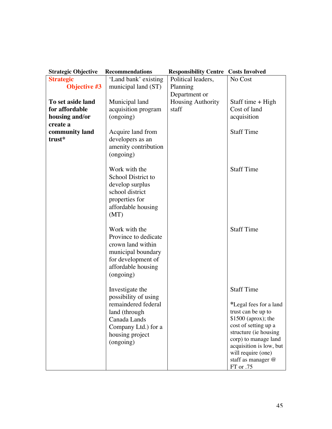| <b>Strategic Objective</b> | <b>Recommendations</b> | <b>Responsibility Centre</b> | <b>Costs Involved</b>                         |
|----------------------------|------------------------|------------------------------|-----------------------------------------------|
| <b>Strategic</b>           | 'Land bank' existing   | Political leaders,           | No Cost                                       |
| <b>Objective #3</b>        | municipal land (ST)    | Planning                     |                                               |
|                            |                        | Department or                |                                               |
| To set aside land          | Municipal land         | Housing Authority            | Staff time + High                             |
| for affordable             | acquisition program    | staff                        | Cost of land                                  |
| housing and/or             | (ongoing)              |                              | acquisition                                   |
| create a                   |                        |                              |                                               |
| community land             | Acquire land from      |                              | <b>Staff Time</b>                             |
| trust*                     | developers as an       |                              |                                               |
|                            | amenity contribution   |                              |                                               |
|                            | (ongoing)              |                              |                                               |
|                            |                        |                              |                                               |
|                            | Work with the          |                              | <b>Staff Time</b>                             |
|                            | School District to     |                              |                                               |
|                            | develop surplus        |                              |                                               |
|                            | school district        |                              |                                               |
|                            | properties for         |                              |                                               |
|                            | affordable housing     |                              |                                               |
|                            | (MT)                   |                              |                                               |
|                            |                        |                              |                                               |
|                            | Work with the          |                              | <b>Staff Time</b>                             |
|                            | Province to dedicate   |                              |                                               |
|                            | crown land within      |                              |                                               |
|                            | municipal boundary     |                              |                                               |
|                            | for development of     |                              |                                               |
|                            | affordable housing     |                              |                                               |
|                            | (ongoing)              |                              |                                               |
|                            |                        |                              |                                               |
|                            | Investigate the        |                              | <b>Staff Time</b>                             |
|                            | possibility of using   |                              |                                               |
|                            | remaindered federal    |                              | *Legal fees for a land                        |
|                            | land (through          |                              | trust can be up to                            |
|                            | Canada Lands           |                              | $$1500$ (aprox); the                          |
|                            | Company Ltd.) for a    |                              | cost of setting up a<br>structure (ie housing |
|                            | housing project        |                              | corp) to manage land                          |
|                            | (ongoing)              |                              | acquisition is low, but                       |
|                            |                        |                              | will require (one)                            |
|                            |                        |                              | staff as manager @                            |
|                            |                        |                              | FT or .75                                     |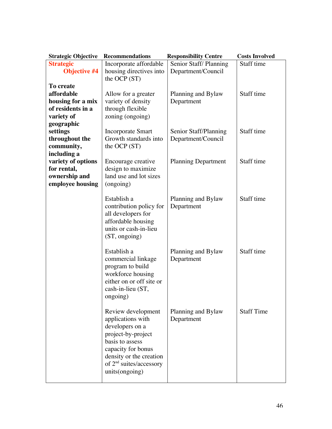| <b>Strategic Objective</b> | <b>Recommendations</b>                      | <b>Responsibility Centre</b> | <b>Costs Involved</b> |
|----------------------------|---------------------------------------------|------------------------------|-----------------------|
| <b>Strategic</b>           | Incorporate affordable                      | Senior Staff/Planning        | Staff time            |
| <b>Objective #4</b>        | housing directives into                     | Department/Council           |                       |
|                            | the OCP $(ST)$                              |                              |                       |
| To create                  |                                             |                              |                       |
| affordable                 | Allow for a greater                         | Planning and Bylaw           | Staff time            |
| housing for a mix          | variety of density                          | Department                   |                       |
| of residents in a          | through flexible                            |                              |                       |
| variety of                 | zoning (ongoing)                            |                              |                       |
| geographic                 |                                             |                              |                       |
| settings                   | <b>Incorporate Smart</b>                    | Senior Staff/Planning        | Staff time            |
| throughout the             | Growth standards into                       | Department/Council           |                       |
| community,                 | the OCP (ST)                                |                              |                       |
| including a                |                                             |                              |                       |
| variety of options         | Encourage creative                          | <b>Planning Department</b>   | Staff time            |
| for rental,                | design to maximize                          |                              |                       |
| ownership and              | land use and lot sizes                      |                              |                       |
| employee housing           | (ongoing)                                   |                              |                       |
|                            |                                             |                              |                       |
|                            | Establish a                                 | Planning and Bylaw           | Staff time            |
|                            | contribution policy for                     | Department                   |                       |
|                            | all developers for                          |                              |                       |
|                            | affordable housing<br>units or cash-in-lieu |                              |                       |
|                            |                                             |                              |                       |
|                            | (ST, ongoing)                               |                              |                       |
|                            | Establish a                                 | Planning and Bylaw           | Staff time            |
|                            | commercial linkage                          | Department                   |                       |
|                            | program to build                            |                              |                       |
|                            | workforce housing                           |                              |                       |
|                            | either on or off site or                    |                              |                       |
|                            | cash-in-lieu (ST,                           |                              |                       |
|                            | ongoing)                                    |                              |                       |
|                            |                                             |                              |                       |
|                            | Review development                          | Planning and Bylaw           | <b>Staff Time</b>     |
|                            | applications with                           | Department                   |                       |
|                            | developers on a                             |                              |                       |
|                            | project-by-project                          |                              |                       |
|                            | basis to assess                             |                              |                       |
|                            | capacity for bonus                          |                              |                       |
|                            | density or the creation                     |                              |                       |
|                            | of $2nd$ suites/accessory                   |                              |                       |
|                            | units(ongoing)                              |                              |                       |
|                            |                                             |                              |                       |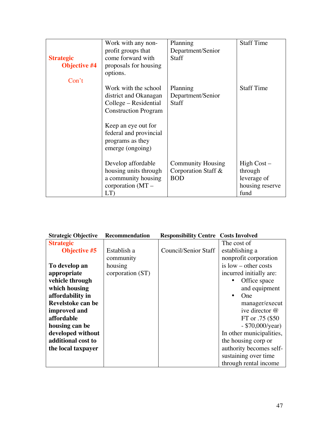|                     | Work with any non-          | Planning                 | <b>Staff Time</b> |
|---------------------|-----------------------------|--------------------------|-------------------|
|                     | profit groups that          | Department/Senior        |                   |
| <b>Strategic</b>    | come forward with           | <b>Staff</b>             |                   |
| <b>Objective #4</b> | proposals for housing       |                          |                   |
|                     | options.                    |                          |                   |
| Con't               |                             |                          |                   |
|                     | Work with the school        | Planning                 | <b>Staff Time</b> |
|                     | district and Okanagan       | Department/Senior        |                   |
|                     | College – Residential       | <b>Staff</b>             |                   |
|                     | <b>Construction Program</b> |                          |                   |
|                     |                             |                          |                   |
|                     | Keep an eye out for         |                          |                   |
|                     | federal and provincial      |                          |                   |
|                     | programs as they            |                          |                   |
|                     | emerge (ongoing)            |                          |                   |
|                     |                             |                          |                   |
|                     | Develop affordable          | <b>Community Housing</b> | High Cost –       |
|                     | housing units through       | Corporation Staff &      | through           |
|                     | a community housing         | <b>BOD</b>               | leverage of       |
|                     | corporation $(MT –$         |                          | housing reserve   |
|                     | LT                          |                          | fund              |

| <b>Strategic Objective</b> | <b>Recommendation</b> | <b>Responsibility Centre Costs Involved</b> |                          |
|----------------------------|-----------------------|---------------------------------------------|--------------------------|
| <b>Strategic</b>           |                       |                                             | The cost of              |
| <b>Objective #5</b>        | Establish a           | Council/Senior Staff                        | establishing a           |
|                            | community             |                                             | nonprofit corporation    |
| To develop an              | housing               |                                             | is $low$ – other costs   |
| appropriate                | corporation (ST)      |                                             | incurred initially are:  |
| vehicle through            |                       |                                             | Office space             |
| which housing              |                       |                                             | and equipment            |
| affordability in           |                       |                                             | <b>One</b>               |
| Revelstoke can be          |                       |                                             | manager/execut           |
| improved and               |                       |                                             | ive director $@$         |
| affordable                 |                       |                                             | FT or .75 (\$50)         |
| housing can be             |                       |                                             | $-$ \$70,000/year)       |
| developed without          |                       |                                             | In other municipalities, |
| additional cost to         |                       |                                             | the housing corp or      |
| the local taxpayer         |                       |                                             | authority becomes self-  |
|                            |                       |                                             | sustaining over time     |
|                            |                       |                                             | through rental income    |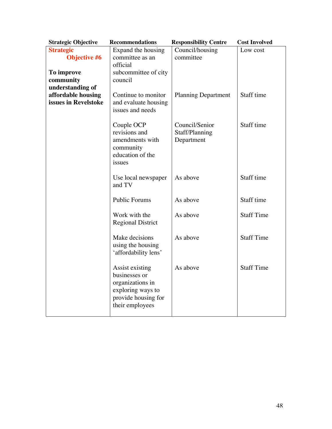| <b>Strategic Objective</b>              | <b>Recommendations</b>                                                                                              | <b>Responsibility Centre</b>                   | <b>Cost Involved</b> |
|-----------------------------------------|---------------------------------------------------------------------------------------------------------------------|------------------------------------------------|----------------------|
| <b>Strategic</b><br><b>Objective #6</b> | Expand the housing<br>committee as an                                                                               | Council/housing<br>committee                   | Low cost             |
|                                         | official                                                                                                            |                                                |                      |
| To improve                              | subcommittee of city                                                                                                |                                                |                      |
| community                               | council                                                                                                             |                                                |                      |
| understanding of                        |                                                                                                                     |                                                |                      |
| affordable housing                      | Continue to monitor                                                                                                 | <b>Planning Department</b>                     | Staff time           |
| issues in Revelstoke                    | and evaluate housing<br>issues and needs                                                                            |                                                |                      |
|                                         | Couple OCP<br>revisions and<br>amendments with<br>community<br>education of the<br>issues                           | Council/Senior<br>Staff/Planning<br>Department | Staff time           |
|                                         | Use local newspaper<br>and TV                                                                                       | As above                                       | Staff time           |
|                                         | <b>Public Forums</b>                                                                                                | As above                                       | Staff time           |
|                                         | Work with the<br><b>Regional District</b>                                                                           | As above                                       | <b>Staff Time</b>    |
|                                         | Make decisions<br>using the housing<br>'affordability lens'                                                         | As above                                       | <b>Staff Time</b>    |
|                                         | Assist existing<br>businesses or<br>organizations in<br>exploring ways to<br>provide housing for<br>their employees | As above                                       | <b>Staff Time</b>    |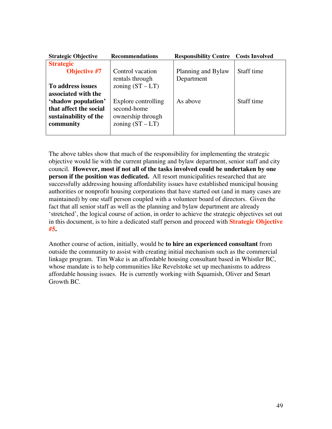| <b>Strategic Objective</b> | <b>Recommendations</b> | <b>Responsibility Centre</b> | <b>Costs Involved</b> |
|----------------------------|------------------------|------------------------------|-----------------------|
| <b>Strategic</b>           |                        |                              |                       |
| <b>Objective #7</b>        | Control vacation       | Planning and Bylaw           | Staff time            |
|                            | rentals through        | Department                   |                       |
| To address issues          | zoning $(ST - LT)$     |                              |                       |
| associated with the        |                        |                              |                       |
| 'shadow population'        | Explore controlling    | As above                     | Staff time            |
| that affect the social     | second-home            |                              |                       |
| sustainability of the      | ownership through      |                              |                       |
| community                  | zoning $(ST - LT)$     |                              |                       |
|                            |                        |                              |                       |

The above tables show that much of the responsibility for implementing the strategic objective would lie with the current planning and bylaw department, senior staff and city council. **However, most if not all of the tasks involved could be undertaken by one person if the position was dedicated.** All resort municipalities researched that are successfully addressing housing affordability issues have established municipal housing authorities or nonprofit housing corporations that have started out (and in many cases are maintained) by one staff person coupled with a volunteer board of directors. Given the fact that all senior staff as well as the planning and bylaw department are already 'stretched', the logical course of action, in order to achieve the strategic objectives set out in this document, is to hire a dedicated staff person and proceed with **Strategic Objective #5.**

Another course of action, initially, would be **to hire an experienced consultant** from outside the community to assist with creating initial mechanism such as the commercial linkage program. Tim Wake is an affordable housing consultant based in Whistler BC, whose mandate is to help communities like Revelstoke set up mechanisms to address affordable housing issues. He is currently working with Squamish, Oliver and Smart Growth BC.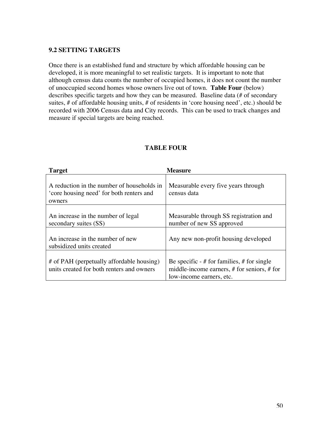### **9.2 SETTING TARGETS**

Once there is an established fund and structure by which affordable housing can be developed, it is more meaningful to set realistic targets. It is important to note that although census data counts the number of occupied homes, it does not count the number of unoccupied second homes whose owners live out of town. **Table Four** (below) describes specific targets and how they can be measured. Baseline data (# of secondary suites, # of affordable housing units, # of residents in 'core housing need', etc.) should be recorded with 2006 Census data and City records. This can be used to track changes and measure if special targets are being reached.

| <b>Target</b>                                                                                    | <b>Measure</b>                                                                                                              |
|--------------------------------------------------------------------------------------------------|-----------------------------------------------------------------------------------------------------------------------------|
| A reduction in the number of households in<br>'core housing need' for both renters and<br>owners | Measurable every five years through<br>census data                                                                          |
| An increase in the number of legal<br>secondary suites (SS)                                      | Measurable through SS registration and<br>number of new SS approved                                                         |
| An increase in the number of new<br>subsidized units created                                     | Any new non-profit housing developed                                                                                        |
| # of PAH (perpetually affordable housing)<br>units created for both renters and owners           | Be specific $-$ # for families, # for single<br>middle-income earners, $#$ for seniors, $#$ for<br>low-income earners, etc. |

### **TABLE FOUR**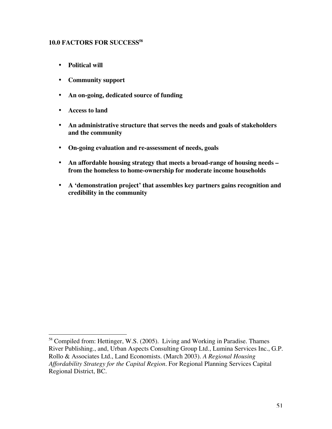### **10.0 FACTORS FOR SUCCESS58**

**Political will**

**Community support**

**An on-going, dedicated source of funding**

**Access to land**

**An administrative structure that serves the needs and goals of stakeholders and the community**

**On-going evaluation and re-assessment of needs, goals**

**An affordable housing strategy that meets a broad-range of housing needs – from the homeless to home-ownership for moderate income households**

**A 'demonstration project' that assembles key partners gains recognition and credibility in the community**

<sup>&</sup>lt;sup>58</sup> Compiled from: Hettinger, W.S. (2005). Living and Working in Paradise. Thames River Publishing., and, Urban Aspects Consulting Group Ltd., Lumina Services Inc., G.P. Rollo & Associates Ltd., Land Economists. (March 2003). *A Regional Housing Affordability Strategy for the Capital Region.* For Regional Planning Services Capital Regional District, BC.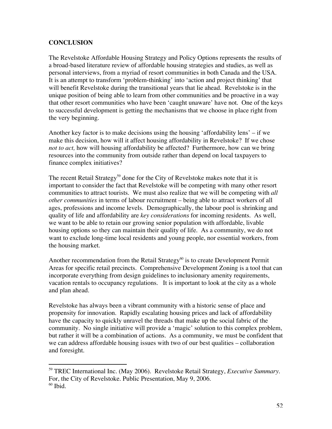### **CONCLUSION**

 $\overline{a}$ 

The Revelstoke Affordable Housing Strategy and Policy Options represents the results of a broad-based literature review of affordable housing strategies and studies, as well as personal interviews, from a myriad of resort communities in both Canada and the USA. It is an attempt to transform 'problem-thinking' into 'action and project thinking' that will benefit Revelstoke during the transitional years that lie ahead. Revelstoke is in the unique position of being able to learn from other communities and be proactive in a way that other resort communities who have been 'caught unaware' have not. One of the keys to successful development is getting the mechanisms that we choose in place right from the very beginning.

Another key factor is to make decisions using the housing 'affordability lens' – if we make this decision, how will it affect housing affordability in Revelstoke? If we chose *not to act,* how will housing affordability be affected? Furthermore, how can we bring resources into the community from outside rather than depend on local taxpayers to finance complex initiatives?

The recent Retail Strategy<sup>59</sup> done for the City of Revelstoke makes note that it is important to consider the fact that Revelstoke will be competing with many other resort communities to attract tourists. We must also realize that we will be competing with *all other communities* in terms of labour recruitment – being able to attract workers of all ages, professions and income levels. Demographically, the labour pool is shrinking and quality of life and affordability are *key considerations* for incoming residents. As well, we want to be able to retain our growing senior population with affordable, livable housing options so they can maintain their quality of life. As a community, we do not want to exclude long-time local residents and young people, nor essential workers, from the housing market.

Another recommendation from the Retail Strategy<sup>60</sup> is to create Development Permit Areas for specific retail precincts. Comprehensive Development Zoning is a tool that can incorporate everything from design guidelines to inclusionary amenity requirements, vacation rentals to occupancy regulations. It is important to look at the city as a whole and plan ahead.

Revelstoke has always been a vibrant community with a historic sense of place and propensity for innovation. Rapidly escalating housing prices and lack of affordability have the capacity to quickly unravel the threads that make up the social fabric of the community. No single initiative will provide a 'magic' solution to this complex problem, but rather it will be a combination of actions. As a community, we must be confident that we can address affordable housing issues with two of our best qualities – collaboration and foresight.

<sup>59</sup> TREC International Inc. (May 2006). Revelstoke Retail Strategy, *Executive Summary.* For, the City of Revelstoke. Public Presentation, May 9, 2006.  $60$  Ibid.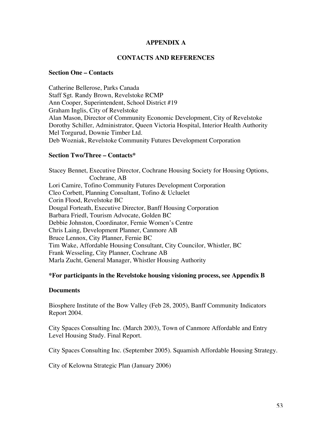### **APPENDIX A**

#### **CONTACTS AND REFERENCES**

#### **Section One – Contacts**

Catherine Bellerose, Parks Canada Staff Sgt. Randy Brown, Revelstoke RCMP Ann Cooper, Superintendent, School District #19 Graham Inglis, City of Revelstoke Alan Mason, Director of Community Economic Development, City of Revelstoke Dorothy Schiller, Administrator, Queen Victoria Hospital, Interior Health Authority Mel Torgurud, Downie Timber Ltd. Deb Wozniak, Revelstoke Community Futures Development Corporation

#### **Section Two/Three – Contacts\***

Stacey Bennet, Executive Director, Cochrane Housing Society for Housing Options, Cochrane, AB Lori Camire, Tofino Community Futures Development Corporation Cleo Corbett, Planning Consultant, Tofino & Ucluelet Corin Flood, Revelstoke BC Dougal Forteath, Executive Director, Banff Housing Corporation Barbara Friedl, Tourism Advocate, Golden BC Debbie Johnston, Coordinator, Fernie Women's Centre Chris Laing, Development Planner, Canmore AB Bruce Lennox, City Planner, Fernie BC Tim Wake, Affordable Housing Consultant, City Councilor, Whistler, BC Frank Wesseling, City Planner, Cochrane AB Marla Zucht, General Manager, Whistler Housing Authority

#### **\*For participants in the Revelstoke housing visioning process, see Appendix B**

#### **Documents**

Biosphere Institute of the Bow Valley (Feb 28, 2005), Banff Community Indicators Report 2004.

City Spaces Consulting Inc. (March 2003), Town of Canmore Affordable and Entry Level Housing Study. Final Report.

City Spaces Consulting Inc. (September 2005). Squamish Affordable Housing Strategy.

City of Kelowna Strategic Plan (January 2006)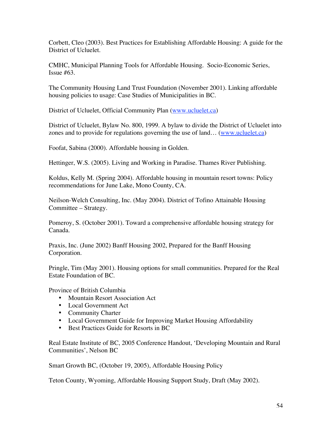Corbett, Cleo (2003). Best Practices for Establishing Affordable Housing: A guide for the District of Ucluelet.

CMHC, Municipal Planning Tools for Affordable Housing. Socio-Economic Series, Issue  $#63$ .

The Community Housing Land Trust Foundation (November 2001). Linking affordable housing policies to usage: Case Studies of Municipalities in BC.

District of Ucluelet, Official Community Plan (www.ucluelet.ca)

District of Ucluelet, Bylaw No. 800, 1999. A bylaw to divide the District of Ucluelet into zones and to provide for regulations governing the use of land… (www.ucluelet.ca)

Foofat, Sabina (2000). Affordable housing in Golden.

Hettinger, W.S. (2005). Living and Working in Paradise. Thames River Publishing.

Koldus, Kelly M. (Spring 2004). Affordable housing in mountain resort towns: Policy recommendations for June Lake, Mono County, CA.

Neilson-Welch Consulting, Inc. (May 2004). District of Tofino Attainable Housing Committee – Strategy.

Pomeroy, S. (October 2001). Toward a comprehensive affordable housing strategy for Canada.

Praxis, Inc. (June 2002) Banff Housing 2002, Prepared for the Banff Housing Corporation.

Pringle, Tim (May 2001). Housing options for small communities. Prepared for the Real Estate Foundation of BC.

Province of British Columbia Mountain Resort Association Act Local Government Act Community Charter Local Government Guide for Improving Market Housing Affordability Best Practices Guide for Resorts in BC

Real Estate Institute of BC, 2005 Conference Handout, 'Developing Mountain and Rural Communities', Nelson BC

Smart Growth BC, (October 19, 2005), Affordable Housing Policy

Teton County, Wyoming, Affordable Housing Support Study, Draft (May 2002).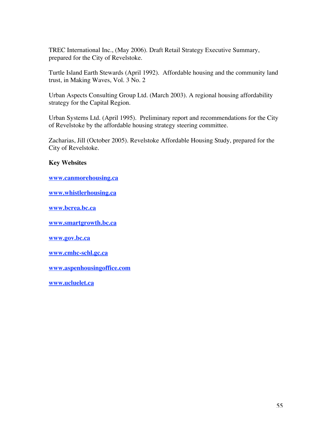TREC International Inc., (May 2006). Draft Retail Strategy Executive Summary, prepared for the City of Revelstoke.

Turtle Island Earth Stewards (April 1992). Affordable housing and the community land trust, in Making Waves, Vol. 3 No. 2

Urban Aspects Consulting Group Ltd. (March 2003). A regional housing affordability strategy for the Capital Region.

Urban Systems Ltd. (April 1995). Preliminary report and recommendations for the City of Revelstoke by the affordable housing strategy steering committee.

Zacharias, Jill (October 2005). Revelstoke Affordable Housing Study, prepared for the City of Revelstoke.

### **Key Websites**

**www.canmorehousing.ca**

**www.whistlerhousing.ca**

**www.bcrea.bc.ca**

**www.smartgrowth.bc.ca**

**www.gov.bc.ca**

**www.cmhc-schl.gc.ca**

**www.aspenhousingoffice.com**

**www.ucluelet.ca**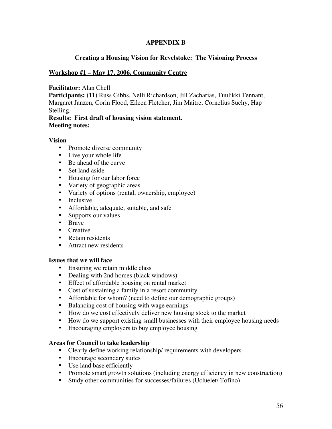### **APPENDIX B**

#### **Creating a Housing Vision for Revelstoke: The Visioning Process**

#### **Workshop #1 – May 17, 2006, Community Centre**

**Facilitator:** Alan Chell

**Participants: (11)** Russ Gibbs, Nelli Richardson, Jill Zacharias, Tuulikki Tennant, Margaret Janzen, Corin Flood, Eileen Fletcher, Jim Maitre, Cornelius Suchy, Hap Stelling.

**Results: First draft of housing vision statement. Meeting notes:**

#### **Vision**

Promote diverse community Live your whole life Be ahead of the curve Set land aside Housing for our labor force Variety of geographic areas Variety of options (rental, ownership, employee) Inclusive Affordable, adequate, suitable, and safe Supports our values Brave **Creative** Retain residents Attract new residents

#### **Issues that we will face**

Ensuring we retain middle class Dealing with 2nd homes (black windows) Effect of affordable housing on rental market Cost of sustaining a family in a resort community Affordable for whom? (need to define our demographic groups) Balancing cost of housing with wage earnings How do we cost effectively deliver new housing stock to the market How do we support existing small businesses with their employee housing needs Encouraging employers to buy employee housing

### **Areas for Council to take leadership**

Clearly define working relationship/ requirements with developers Encourage secondary suites Use land base efficiently Promote smart growth solutions (including energy efficiency in new construction) Study other communities for successes/failures (Ucluelet/ Tofino)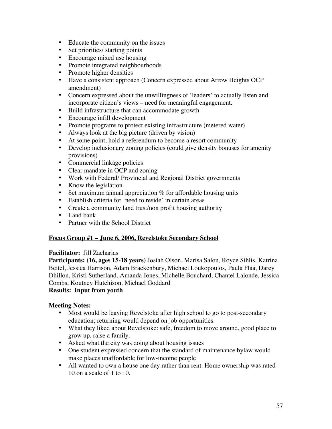Educate the community on the issues Set priorities/ starting points Encourage mixed use housing Promote integrated neighbourhoods Promote higher densities Have a consistent approach (Concern expressed about Arrow Heights OCP amendment) Concern expressed about the unwillingness of 'leaders' to actually listen and incorporate citizen's views – need for meaningful engagement. Build infrastructure that can accommodate growth Encourage infill development Promote programs to protect existing infrastructure (metered water) Always look at the big picture (driven by vision) At some point, hold a referendum to become a resort community Develop inclusionary zoning policies (could give density bonuses for amenity provisions) Commercial linkage policies Clear mandate in OCP and zoning Work with Federal/ Provincial and Regional District governments Know the legislation Set maximum annual appreciation  $%$  for affordable housing units Establish criteria for 'need to reside' in certain areas Create a community land trust/non profit housing authority Land bank Partner with the School District

### **Focus Group #1 – June 6, 2006, Revelstoke Secondary School**

#### **Facilitator:** Jill Zacharias

**Participants: (16, ages 15-18 years)** Josiah Olson, Marisa Salon, Royce Sihlis, Katrina Beitel, Jessica Harrison, Adam Brackenbury, Michael Loukopoulos, Paula Flaa, Darcy Dhillon, Kristi Sutherland, Amanda Jones, Michelle Bouchard, Chantel Lalonde, Jessica Combs, Koutney Hutchison, Michael Goddard

#### **Results: Input from youth**

#### **Meeting Notes:**

Most would be leaving Revelstoke after high school to go to post-secondary education; returning would depend on job opportunities.

What they liked about Revelstoke: safe, freedom to move around, good place to grow up, raise a family.

Asked what the city was doing about housing issues

One student expressed concern that the standard of maintenance bylaw would make places unaffordable for low-income people

All wanted to own a house one day rather than rent. Home ownership was rated 10 on a scale of 1 to 10.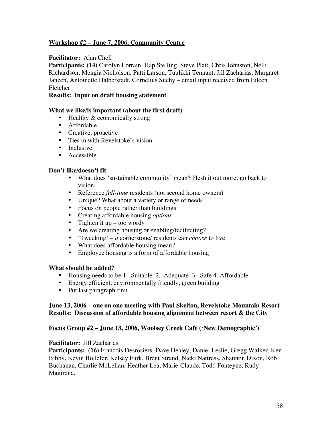### **Workshop #2 – June 7, 2006, Community Centre**

#### **Facilitator:** Alan Chell

**Participants: (14)** Carolyn Lorrain, Hap Stelling, Steve Platt, Chris Johnston, Nelli Richardson, Mengia Nicholson, Patti Larson, Tuulikki Tennant, Jill Zacharias, Margaret Janzen, Antoinette Halberstadt, Cornelius Suchy – email input received from Eileen Fletcher

#### **Results: Input on draft housing statement**

#### **What we like/is important (about the first draft)**

Healthy & economically strong Affordable Creative, proactive Ties in with Revelstoke's vision Inclusive Accessible

#### **Don't like/doesn't fit**

What does 'sustainable community' mean? Flesh it out more, go back to vision Reference *full-time* residents (not second home owners) Unique? What about a variety or range of needs Focus on people rather than buildings Creating affordable housing *options* Tighten it  $up - too$  wordy Are we creating housing or enabling/facilitating? 'Tweeking' – *a* cornerstone/ residents can *choose* to live What does affordable housing mean? Employee housing is a form of affordable housing

### **What should be added?**

Housing needs to be 1. Suitable 2. Adequate 3. Safe 4. Affordable Energy efficient, environmentally friendly, green building Put last paragraph first

### **June 13, 2006 – one on one meeting with Paul Skelton, Revelstoke Mountain Resort Results: Discussion of affordable housing alignment between resort & the City**

#### **Focus Group #2 – June 13, 2006, Woolsey Creek Café ('New Demographic')**

#### **Facilitator:** Jill Zacharias

**Participants: (16)** Francois Desrosiers, Dave Healey, Daniel Leslie, Gregg Walker, Ken Bibby, Kevin Bollefer, Kelsey Furk, Brent Strand, Nicki Nattress, Shannon Dixon, Rob Buchanan, Charlie McLellan, Heather Lea, Marie-Claude, Todd Fonteyne, Rudy Magirena.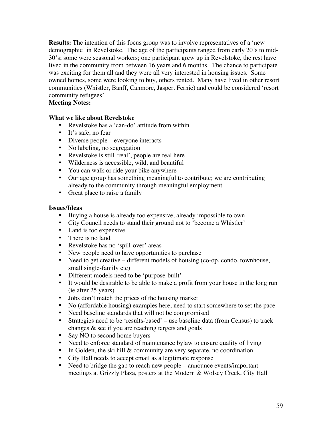**Results:** The intention of this focus group was to involve representatives of a 'new demographic' in Revelstoke. The age of the participants ranged from early 20's to mid-30's; some were seasonal workers; one participant grew up in Revelstoke, the rest have lived in the community from between 16 years and 6 months. The chance to participate was exciting for them all and they were all very interested in housing issues. Some owned homes, some were looking to buy, others rented. Many have lived in other resort communities (Whistler, Banff, Canmore, Jasper, Fernie) and could be considered 'resort community refugees'.

### **Meeting Notes:**

#### **What we like about Revelstoke**

Revelstoke has a 'can-do' attitude from within It's safe, no fear Diverse people – everyone interacts No labeling, no segregation Revelstoke is still 'real', people are real here Wilderness is accessible, wild, and beautiful You can walk or ride your bike anywhere Our age group has something meaningful to contribute; we are contributing already to the community through meaningful employment Great place to raise a family

#### **Issues/Ideas**

Buying a house is already too expensive, already impossible to own City Council needs to stand their ground not to 'become a Whistler' Land is too expensive There is no land Revelstoke has no 'spill-over' areas New people need to have opportunities to purchase Need to get creative – different models of housing (co-op, condo, townhouse, small single-family etc) Different models need to be 'purpose-built' It would be desirable to be able to make a profit from your house in the long run (ie after 25 years) Jobs don't match the prices of the housing market No (affordable housing) examples here, need to start somewhere to set the pace Need baseline standards that will not be compromised Strategies need to be 'results-based' – use baseline data (from Census) to track changes & see if you are reaching targets and goals Say NO to second home buyers Need to enforce standard of maintenance bylaw to ensure quality of living In Golden, the ski hill & community are very separate, no coordination City Hall needs to accept email as a legitimate response Need to bridge the gap to reach new people – announce events/important meetings at Grizzly Plaza, posters at the Modern & Wolsey Creek, City Hall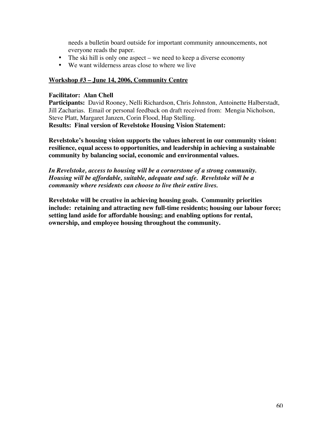needs a bulletin board outside for important community announcements, not everyone reads the paper. The ski hill is only one aspect – we need to keep a diverse economy We want wilderness areas close to where we live

### **Workshop #3 – June 14, 2006, Community Centre**

### **Facilitator: Alan Chell**

Participants: David Rooney, Nelli Richardson, Chris Johnston, Antoinette Halberstadt, Jill Zacharias. Email or personal feedback on draft received from: Mengia Nicholson, Steve Platt, Margaret Janzen, Corin Flood, Hap Stelling. **Results: Final version of Revelstoke Housing Vision Statement:**

**Revelstoke's housing vision supports the values inherent in our community vision: resilience, equal access to opportunities, and leadership in achieving a sustainable community by balancing social, economic and environmental values.**

*In Revelstoke, access to housing will be a cornerstone of a strong community. Housing will be affordable, suitable, adequate and safe. Revelstoke will be a community where residents can choose to live their entire lives.*

**Revelstoke will be creative in achieving housing goals. Community priorities include: retaining and attracting new full-time residents; housing our labour force; setting land aside for affordable housing; and enabling options for rental, ownership, and employee housing throughout the community.**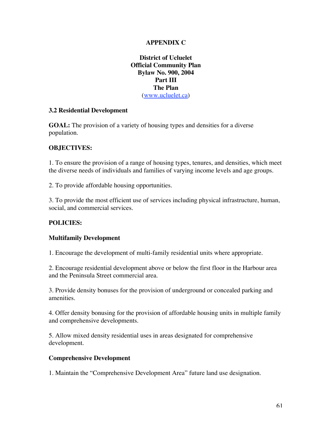### **APPENDIX C**

**District of Ucluelet Official Community Plan Bylaw No. 900, 2004 Part III The Plan** (www.ucluelet.ca)

### **3.2 Residential Development**

**GOAL:** The provision of a variety of housing types and densities for a diverse population.

### **OBJECTIVES:**

1. To ensure the provision of a range of housing types, tenures, and densities, which meet the diverse needs of individuals and families of varying income levels and age groups.

2. To provide affordable housing opportunities.

3. To provide the most efficient use of services including physical infrastructure, human, social, and commercial services.

### **POLICIES:**

### **Multifamily Development**

1. Encourage the development of multi-family residential units where appropriate.

2. Encourage residential development above or below the first floor in the Harbour area and the Peninsula Street commercial area.

3. Provide density bonuses for the provision of underground or concealed parking and amenities.

4. Offer density bonusing for the provision of affordable housing units in multiple family and comprehensive developments.

5. Allow mixed density residential uses in areas designated for comprehensive development.

### **Comprehensive Development**

1. Maintain the "Comprehensive Development Area" future land use designation.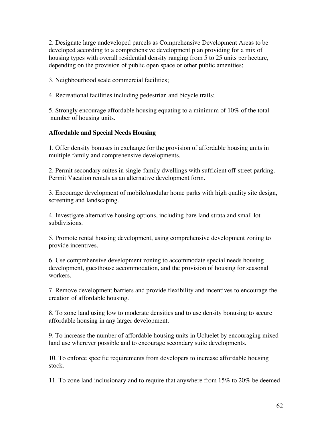2. Designate large undeveloped parcels as Comprehensive Development Areas to be developed according to a comprehensive development plan providing for a mix of housing types with overall residential density ranging from 5 to 25 units per hectare, depending on the provision of public open space or other public amenities;

3. Neighbourhood scale commercial facilities;

4. Recreational facilities including pedestrian and bicycle trails;

5. Strongly encourage affordable housing equating to a minimum of 10% of the total number of housing units.

### **Affordable and Special Needs Housing**

1. Offer density bonuses in exchange for the provision of affordable housing units in multiple family and comprehensive developments.

2. Permit secondary suites in single-family dwellings with sufficient off-street parking. Permit Vacation rentals as an alternative development form.

3. Encourage development of mobile/modular home parks with high quality site design, screening and landscaping.

4. Investigate alternative housing options, including bare land strata and small lot subdivisions.

5. Promote rental housing development, using comprehensive development zoning to provide incentives.

6. Use comprehensive development zoning to accommodate special needs housing development, guesthouse accommodation, and the provision of housing for seasonal workers.

7. Remove development barriers and provide flexibility and incentives to encourage the creation of affordable housing.

8. To zone land using low to moderate densities and to use density bonusing to secure affordable housing in any larger development.

9. To increase the number of affordable housing units in Ucluelet by encouraging mixed land use wherever possible and to encourage secondary suite developments.

10. To enforce specific requirements from developers to increase affordable housing stock.

11. To zone land inclusionary and to require that anywhere from 15% to 20% be deemed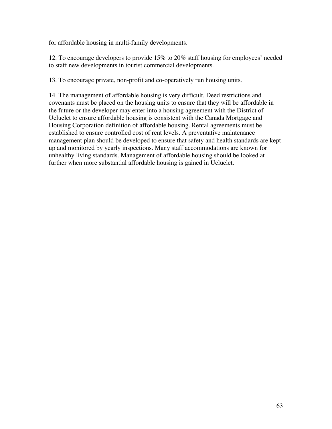for affordable housing in multi-family developments.

12. To encourage developers to provide 15% to 20% staff housing for employees' needed to staff new developments in tourist commercial developments.

13. To encourage private, non-profit and co-operatively run housing units.

14. The management of affordable housing is very difficult. Deed restrictions and covenants must be placed on the housing units to ensure that they will be affordable in the future or the developer may enter into a housing agreement with the District of Ucluelet to ensure affordable housing is consistent with the Canada Mortgage and Housing Corporation definition of affordable housing. Rental agreements must be established to ensure controlled cost of rent levels. A preventative maintenance management plan should be developed to ensure that safety and health standards are kept up and monitored by yearly inspections. Many staff accommodations are known for unhealthy living standards. Management of affordable housing should be looked at further when more substantial affordable housing is gained in Ucluelet.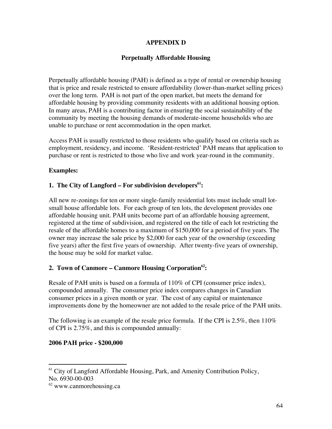### **APPENDIX D**

### **Perpetually Affordable Housing**

Perpetually affordable housing (PAH) is defined as a type of rental or ownership housing that is price and resale restricted to ensure affordability (lower-than-market selling prices) over the long term. PAH is not part of the open market, but meets the demand for affordable housing by providing community residents with an additional housing option. In many areas, PAH is a contributing factor in ensuring the social sustainability of the community by meeting the housing demands of moderate-income households who are unable to purchase or rent accommodation in the open market.

Access PAH is usually restricted to those residents who qualify based on criteria such as employment, residency, and income. 'Resident-restricted' PAH means that application to purchase or rent is restricted to those who live and work year-round in the community.

### **Examples:**

### **1. The City of Langford – For subdivision developers61 :**

All new re-zonings for ten or more single-family residential lots must include small lotsmall house affordable lots. For each group of ten lots, the development provides one affordable housing unit. PAH units become part of an affordable housing agreement, registered at the time of subdivision, and registered on the title of each lot restricting the resale of the affordable homes to a maximum of \$150,000 for a period of five years. The owner may increase the sale price by \$2,000 for each year of the ownership (exceeding five years) after the first five years of ownership. After twenty-five years of ownership, the house may be sold for market value.

### 2. Town of Canmore – Canmore Housing Corporation<sup>62</sup>:

Resale of PAH units is based on a formula of 110% of CPI (consumer price index), compounded annually. The consumer price index compares changes in Canadian consumer prices in a given month or year. The cost of any capital or maintenance improvements done by the homeowner are not added to the resale price of the PAH units.

The following is an example of the resale price formula. If the CPI is 2.5%, then 110% of CPI is 2.75%, and this is compounded annually:

### **2006 PAH price - \$200,000**

 $\overline{a}$ <sup>61</sup> City of Langford Affordable Housing, Park, and Amenity Contribution Policy, No. 6930-00-003

<sup>62</sup> www.canmorehousing.ca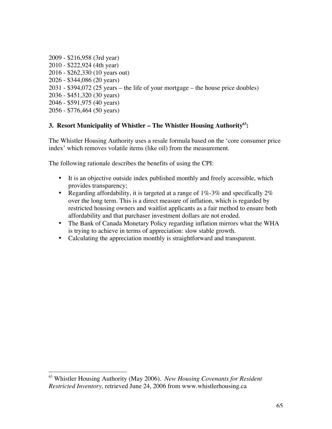2009 - \$216,958 (3rd year) 2010 - \$222,924 (4th year) 2016 - \$262,330 (10 years out) 2026 - \$344,086 (20 years) 2031 - \$394,072 (25 years – the life of your mortgage – the house price doubles) 2036 - \$451,320 (30 years) 2046 - \$591,975 (40 years) 2056 - \$776,464 (50 years)

### **3. Resort Municipality of Whistler – The Whistler Housing Authority63 :**

The Whistler Housing Authority uses a resale formula based on the 'core consumer price index' which removes volatile items (like oil) from the measurement.

The following rationale describes the benefits of using the CPI:

It is an objective outside index published monthly and freely accessible, which provides transparency;

Regarding affordability, it is targeted at a range of 1%-3% and specifically 2% over the long term. This is a direct measure of inflation, which is regarded by restricted housing owners and waitlist applicants as a fair method to ensure both affordability and that purchaser investment dollars are not eroded.

The Bank of Canada Monetary Policy regarding inflation mirrors what the WHA is trying to achieve in terms of appreciation: slow stable growth.

Calculating the appreciation monthly is straightforward and transparent.

 $\overline{a}$ 

<sup>63</sup> Whistler Housing Authority (May 2006). *New Housing Covenants for Resident Restricted Inventory,* retrieved June 24, 2006 from www.whistlerhousing.ca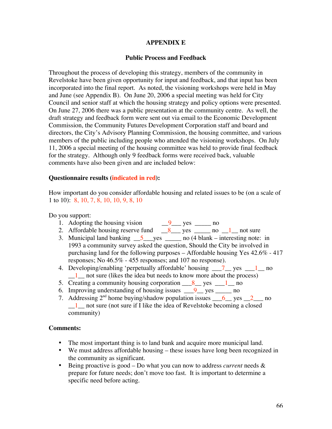#### **APPENDIX E**

#### **Public Process and Feedback**

Throughout the process of developing this strategy, members of the community in Revelstoke have been given opportunity for input and feedback, and that input has been incorporated into the final report. As noted, the visioning workshops were held in May and June (see Appendix B). On June 20, 2006 a special meeting was held for City Council and senior staff at which the housing strategy and policy options were presented. On June 27, 2006 there was a public presentation at the community centre. As well, the draft strategy and feedback form were sent out via email to the Economic Development Commission, the Community Futures Development Corporation staff and board and directors, the City's Advisory Planning Commission, the housing committee, and various members of the public including people who attended the visioning workshops. On July 11, 2006 a special meeting of the housing committee was held to provide final feedback for the strategy. Although only 9 feedback forms were received back, valuable comments have also been given and are included below:

#### **Questionnaire results (indicated in red):**

How important do you consider affordable housing and related issues to be (on a scale of 1 to 10): 8, 10, 7, 8, 10, 10, 9, 8, 10

Do you support:

- 1. Adopting the housing vision  $9 \qquad 9$  yes \_\_\_\_\_ no
- 2. Affordable housing reserve fund  $\frac{8}{10}$  yes \_\_\_\_\_ no  $\frac{1}{10}$  not sure
- 3. Municipal land banking  $\frac{5}{2}$  yes  $\frac{1}{2}$  no (4 blank interesting note: in 1993 a community survey asked the question, Should the City be involved in purchasing land for the following purposes – Affordable housing Yes 42.6% - 417 responses; No 46.5% - 455 responses; and 107 no response).
- 4. Developing/enabling 'perpetually affordable' housing  $\frac{7}{2}$  yes  $\frac{1}{2}$  no 1 not sure (likes the idea but needs to know more about the process)
- 5. Creating a community housing corporation  $8 \text{ m/s}$  yes  $1 \text{ m}$  no
- 6. Improving understanding of housing issues  $\frac{9}{2}$  yes \_\_\_\_\_\_ no
- 7. Addressing  $2<sup>nd</sup>$  home buying/shadow population issues  $\frac{6}{9}$  yes  $\frac{2}{9}$  no  $\frac{1}{\sqrt{1}}$  not sure (not sure if I like the idea of Revelstoke becoming a closed community)

#### **Comments:**

The most important thing is to land bank and acquire more municipal land. We must address affordable housing – these issues have long been recognized in the community as significant.

Being proactive is good – Do what you can now to address *current* needs & prepare for future needs; don't move too fast. It is important to determine a specific need before acting.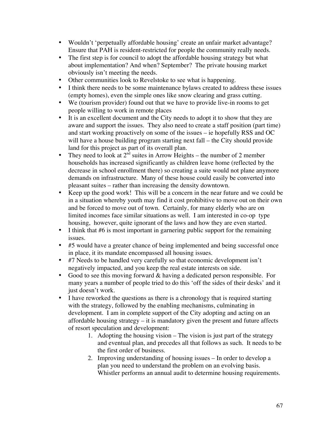Wouldn't 'perpetually affordable housing' create an unfair market advantage? Ensure that PAH is resident-restricted for people the community really needs. The first step is for council to adopt the affordable housing strategy but what about implementation? And when? September? The private housing market obviously isn't meeting the needs.

Other communities look to Revelstoke to see what is happening. I think there needs to be some maintenance bylaws created to address these issues (empty homes), even the simple ones like snow clearing and grass cutting. We (tourism provider) found out that we have to provide live-in rooms to get people willing to work in remote places

It is an excellent document and the City needs to adopt it to show that they are aware and support the issues. They also need to create a staff position (part time) and start working proactively on some of the issues – ie hopefully RSS and OC will have a house building program starting next fall – the City should provide land for this project as part of its overall plan.

They need to look at  $2<sup>nd</sup>$  suites in Arrow Heights – the number of 2 member households has increased significantly as children leave home (reflected by the decrease in school enrollment there) so creating a suite would not plane anymore demands on infrastructure. Many of these house could easily be converted into pleasant suites – rather than increasing the density downtown.

Keep up the good work! This will be a concern in the near future and we could be in a situation whereby youth may find it cost prohibitive to move out on their own and be forced to move out of town. Certainly, for many elderly who are on limited incomes face similar situations as well. I am interested in co-op type housing, however, quite ignorant of the laws and how they are even started. I think that #6 is most important in garnering public support for the remaining issues.

#5 would have a greater chance of being implemented and being successful once in place, it its mandate encompassed all housing issues.

#7 Needs to be handled very carefully so that economic development isn't negatively impacted, and you keep the real estate interests on side.

Good to see this moving forward & having a dedicated person responsible. For many years a number of people tried to do this 'off the sides of their desks' and it just doesn't work.

I have reworked the questions as there is a chronology that is required starting with the strategy, followed by the enabling mechanisms, culminating in development. I am in complete support of the City adopting and acting on an affordable housing strategy – it is mandatory given the present and future affects of resort speculation and development:

- 1. Adopting the housing vision The vision is just part of the strategy and eventual plan, and precedes all that follows as such. It needs to be the first order of business.
- 2. Improving understanding of housing issues In order to develop a plan you need to understand the problem on an evolving basis. Whistler performs an annual audit to determine housing requirements.